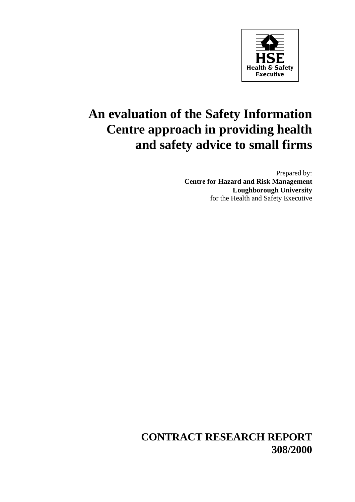

# **An evaluation of the Safety Information Centre approach in providing health and safety advice to small firms**

Prepared by: **Centre for Hazard and Risk Management Loughborough University** for the Health and Safety Executive

**CONTRACT RESEARCH REPORT 308/2000**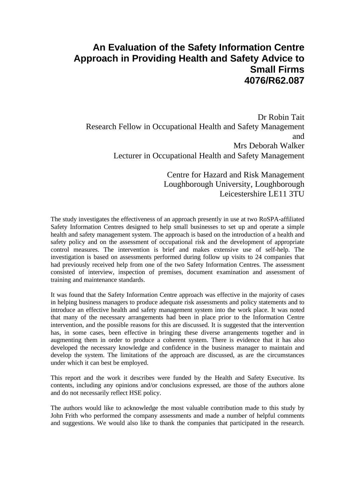### **An Evaluation of the Safety Information Centre Approach in Providing Health and Safety Advice to Small Firms 4076/R62.087**

Dr Robin Tait Research Fellow in Occupational Health and Safety Management and Mrs Deborah Walker Lecturer in Occupational Health and Safety Management

> Centre for Hazard and Risk Management Loughborough University, Loughborough Leicestershire LE11 3TU

The study investigates the effectiveness of an approach presently in use at two RoSPA-affiliated Safety Information Centres designed to help small businesses to set up and operate a simple health and safety management system. The approach is based on the introduction of a health and safety policy and on the assessment of occupational risk and the development of appropriate control measures. The intervention is brief and makes extensive use of self-help. The investigation is based on assessments performed during follow up visits to 24 companies that had previously received help from one of the two Safety Information Centres. The assessment consisted of interview, inspection of premises, document examination and assessment of training and maintenance standards.

It was found that the Safety Information Centre approach was effective in the majority of cases in helping business managers to produce adequate risk assessments and policy statements and to introduce an effective health and safety management system into the work place. It was noted that many of the necessary arrangements had been in place prior to the Information Centre intervention, and the possible reasons for this are discussed. It is suggested that the intervention has, in some cases, been effective in bringing these diverse arrangements together and in augmenting them in order to produce a coherent system. There is evidence that it has also developed the necessary knowledge and confidence in the business manager to maintain and develop the system. The limitations of the approach are discussed, as are the circumstances under which it can best be employed.

This report and the work it describes were funded by the Health and Safety Executive. Its contents, including any opinions and/or conclusions expressed, are those of the authors alone and do not necessarily reflect HSE policy.

The authors would like to acknowledge the most valuable contribution made to this study by John Frith who performed the company assessments and made a number of helpful comments and suggestions. We would also like to thank the companies that participated in the research.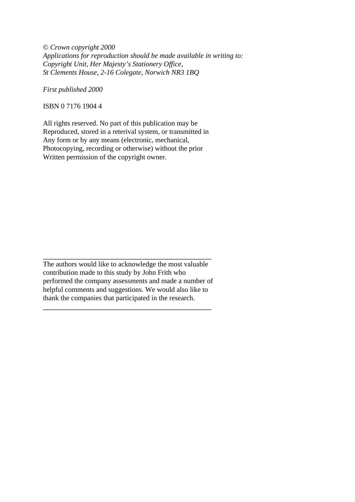© *Crown copyright 2000 Applications for reproduction should be made available in writing to: Copyright Unit, Her Majesty's Stationery Office, St Clements House, 2-16 Colegate, Norwich NR3 1BQ*

*First published 2000*

ISBN 0 7176 1904 4

All rights reserved. No part of this publication may be Reproduced, stored in a reterival system, or transmitted in Any form or by any means (electronic, mechanical, Photocopying, recording or otherwise) without the prior Written permission of the copyright owner.

The authors would like to acknowledge the most valuable contribution made to this study by John Frith who performed the company assessments and made a number of helpful comments and suggestions. We would also like to thank the companies that participated in the research.

\_\_\_\_\_\_\_\_\_\_\_\_\_\_\_\_\_\_\_\_\_\_\_\_\_\_\_\_\_\_\_\_\_\_\_\_\_\_\_\_\_\_

\_\_\_\_\_\_\_\_\_\_\_\_\_\_\_\_\_\_\_\_\_\_\_\_\_\_\_\_\_\_\_\_\_\_\_\_\_\_\_\_\_\_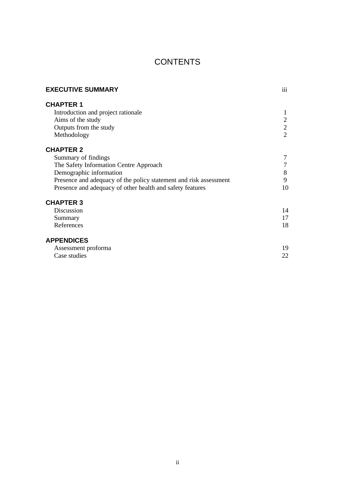### **CONTENTS**

| <b>EXECUTIVE SUMMARY</b>                                          | iii            |
|-------------------------------------------------------------------|----------------|
| <b>CHAPTER 1</b>                                                  |                |
| Introduction and project rationale                                | 1              |
| Aims of the study                                                 | 2              |
| Outputs from the study                                            | $\overline{2}$ |
| Methodology                                                       | $\overline{2}$ |
| <b>CHAPTER 2</b>                                                  |                |
| Summary of findings                                               |                |
| The Safety Information Centre Approach                            | 7              |
| Demographic information                                           | 8              |
| Presence and adequacy of the policy statement and risk assessment | 9              |
| Presence and adequacy of other health and safety features         | 10             |
| <b>CHAPTER 3</b>                                                  |                |
| Discussion                                                        | 14             |
| Summary                                                           | 17             |
| References                                                        | 18             |
| <b>APPENDICES</b>                                                 |                |
| Assessment proforma                                               | 19             |
| Case studies                                                      | 22             |
|                                                                   |                |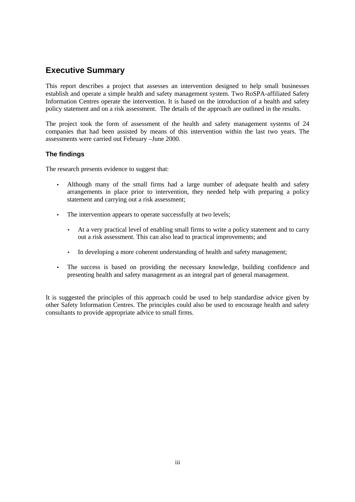### **Executive Summary**

This report describes a project that assesses an intervention designed to help small businesses establish and operate a simple health and safety management system. Two RoSPA-affiliated Safety Information Centres operate the intervention. It is based on the introduction of a health and safety policy statement and on a risk assessment. The details of the approach are outlined in the results.

The project took the form of assessment of the health and safety management systems of 24 companies that had been assisted by means of this intervention within the last two years. The assessments were carried out February –June 2000.

#### **The findings**

The research presents evidence to suggest that:

- Although many of the small firms had a large number of adequate health and safety arrangements in place prior to intervention, they needed help with preparing a policy statement and carrying out a risk assessment;
- The intervention appears to operate successfully at two levels:
	- At a very practical level of enabling small firms to write a policy statement and to carry out a risk assessment. This can also lead to practical improvements; and
	- In developing a more coherent understanding of health and safety management;
- The success is based on providing the necessary knowledge, building confidence and presenting health and safety management as an integral part of general management.

It is suggested the principles of this approach could be used to help standardise advice given by other Safety Information Centres. The principles could also be used to encourage health and safety consultants to provide appropriate advice to small firms.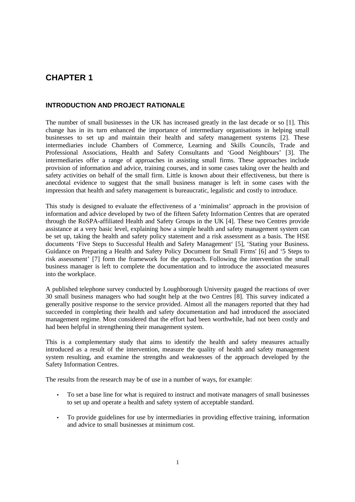### **CHAPTER 1**

#### **INTRODUCTION AND PROJECT RATIONALE**

The number of small businesses in the UK has increased greatly in the last decade or so [1]. This change has in its turn enhanced the importance of intermediary organisations in helping small businesses to set up and maintain their health and safety management systems [2]. These intermediaries include Chambers of Commerce, Learning and Skills Councils, Trade and Professional Associations, Health and Safety Consultants and 'Good Neighbours' [3]. The intermediaries offer a range of approaches in assisting small firms. These approaches include provision of information and advice, training courses, and in some cases taking over the health and safety activities on behalf of the small firm. Little is known about their effectiveness, but there is anecdotal evidence to suggest that the small business manager is left in some cases with the impression that health and safety management is bureaucratic, legalistic and costly to introduce.

This study is designed to evaluate the effectiveness of a 'minimalist' approach in the provision of information and advice developed by two of the fifteen Safety Information Centres that are operated through the RoSPA-affiliated Health and Safety Groups in the UK [4]. These two Centres provide assistance at a very basic level, explaining how a simple health and safety management system can be set up, taking the health and safety policy statement and a risk assessment as a basis. The HSE documents 'Five Steps to Successful Health and Safety Management' [5], 'Stating your Business. Guidance on Preparing a Health and Safety Policy Document for Small Firms' [6] and '5 Steps to risk assessment' [7] form the framework for the approach. Following the intervention the small business manager is left to complete the documentation and to introduce the associated measures into the workplace.

A published telephone survey conducted by Loughborough University gauged the reactions of over 30 small business managers who had sought help at the two Centres [8]. This survey indicated a generally positive response to the service provided. Almost all the managers reported that they had succeeded in completing their health and safety documentation and had introduced the associated management regime. Most considered that the effort had been worthwhile, had not been costly and had been helpful in strengthening their management system.

This is a complementary study that aims to identify the health and safety measures actually introduced as a result of the intervention, measure the quality of health and safety management system resulting, and examine the strengths and weaknesses of the approach developed by the Safety Information Centres.

The results from the research may be of use in a number of ways, for example:

- To set a base line for what is required to instruct and motivate managers of small businesses to set up and operate a health and safety system of acceptable standard.
- To provide guidelines for use by intermediaries in providing effective training, information and advice to small businesses at minimum cost.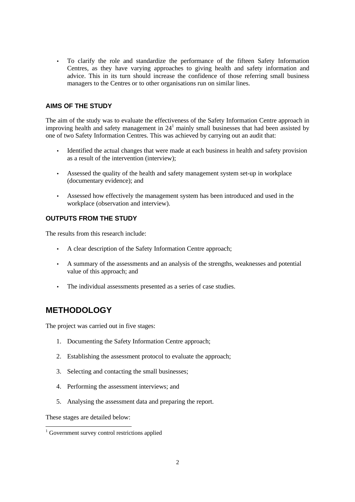• To clarify the role and standardize the performance of the fifteen Safety Information Centres, as they have varying approaches to giving health and safety information and advice. This in its turn should increase the confidence of those referring small business managers to the Centres or to other organisations run on similar lines.

#### **AIMS OF THE STUDY**

The aim of the study was to evaluate the effectiveness of the Safety Information Centre approach in improving health and safety management in  $24<sup>1</sup>$  mainly small businesses that had been assisted by one of two Safety Information Centres. This was achieved by carrying out an audit that:

- Identified the actual changes that were made at each business in health and safety provision as a result of the intervention (interview);
- Assessed the quality of the health and safety management system set-up in workplace (documentary evidence); and
- Assessed how effectively the management system has been introduced and used in the workplace (observation and interview).

#### **OUTPUTS FROM THE STUDY**

The results from this research include:

- A clear description of the Safety Information Centre approach;
- A summary of the assessments and an analysis of the strengths, weaknesses and potential value of this approach; and
- The individual assessments presented as a series of case studies.

### **METHODOLOGY**

The project was carried out in five stages:

- 1. Documenting the Safety Information Centre approach;
- 2. Establishing the assessment protocol to evaluate the approach;
- 3. Selecting and contacting the small businesses;
- 4. Performing the assessment interviews; and
- 5. Analysing the assessment data and preparing the report.

These stages are detailed below:

 $\overline{a}$ 

<sup>&</sup>lt;sup>1</sup> Government survey control restrictions applied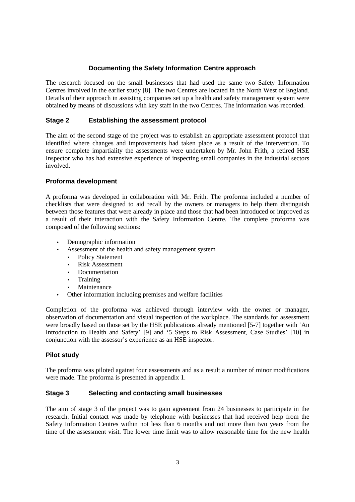#### **Documenting the Safety Information Centre approach**

The research focused on the small businesses that had used the same two Safety Information Centres involved in the earlier study [8]. The two Centres are located in the North West of England. Details of their approach in assisting companies set up a health and safety management system were obtained by means of discussions with key staff in the two Centres. The information was recorded.

#### **Stage 2 Establishing the assessment protocol**

The aim of the second stage of the project was to establish an appropriate assessment protocol that identified where changes and improvements had taken place as a result of the intervention. To ensure complete impartiality the assessments were undertaken by Mr. John Frith, a retired HSE Inspector who has had extensive experience of inspecting small companies in the industrial sectors involved.

#### **Proforma development**

A proforma was developed in collaboration with Mr. Frith. The proforma included a number of checklists that were designed to aid recall by the owners or managers to help them distinguish between those features that were already in place and those that had been introduced or improved as a result of their interaction with the Safety Information Centre. The complete proforma was composed of the following sections:

- Demographic information
	- Assessment of the health and safety management system
	- Policy Statement
	- Risk Assessment
	- Documentation
	- Training
	- **Maintenance**
- Other information including premises and welfare facilities

Completion of the proforma was achieved through interview with the owner or manager, observation of documentation and visual inspection of the workplace. The standards for assessment were broadly based on those set by the HSE publications already mentioned [5-7] together with 'An Introduction to Health and Safety' [9] and '5 Steps to Risk Assessment, Case Studies' [10] in conjunction with the assessor's experience as an HSE inspector.

#### **Pilot study**

The proforma was piloted against four assessments and as a result a number of minor modifications were made. The proforma is presented in appendix 1.

#### **Stage 3 Selecting and contacting small businesses**

The aim of stage 3 of the project was to gain agreement from 24 businesses to participate in the research. Initial contact was made by telephone with businesses that had received help from the Safety Information Centres within not less than 6 months and not more than two years from the time of the assessment visit. The lower time limit was to allow reasonable time for the new health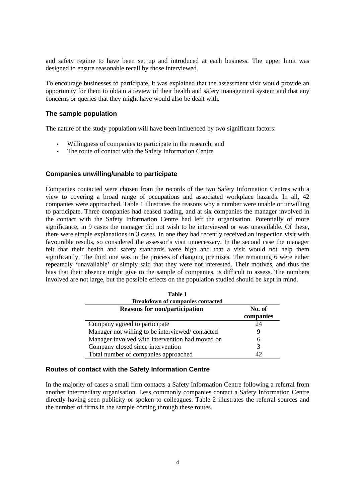and safety regime to have been set up and introduced at each business. The upper limit was designed to ensure reasonable recall by those interviewed.

To encourage businesses to participate, it was explained that the assessment visit would provide an opportunity for them to obtain a review of their health and safety management system and that any concerns or queries that they might have would also be dealt with.

#### **The sample population**

The nature of the study population will have been influenced by two significant factors:

- Willingness of companies to participate in the research; and
- The route of contact with the Safety Information Centre

#### **Companies unwilling/unable to participate**

Companies contacted were chosen from the records of the two Safety Information Centres with a view to covering a broad range of occupations and associated workplace hazards. In all, 42 companies were approached. Table 1 illustrates the reasons why a number were unable or unwilling to participate. Three companies had ceased trading, and at six companies the manager involved in the contact with the Safety Information Centre had left the organisation. Potentially of more significance, in 9 cases the manager did not wish to be interviewed or was unavailable. Of these, there were simple explanations in 3 cases. In one they had recently received an inspection visit with favourable results, so considered the assessor's visit unnecessary. In the second case the manager felt that their health and safety standards were high and that a visit would not help them significantly. The third one was in the process of changing premises. The remaining 6 were either repeatedly 'unavailable' or simply said that they were not interested. Their motives, and thus the bias that their absence might give to the sample of companies, is difficult to assess. The numbers involved are not large, but the possible effects on the population studied should be kept in mind.

| <b>Table 1</b>                                  |           |
|-------------------------------------------------|-----------|
| <b>Breakdown of companies contacted</b>         |           |
| <b>Reasons for non/participation</b>            | No. of    |
|                                                 | companies |
| Company agreed to participate                   | 24        |
| Manager not willing to be interviewed/contacted | 9         |
| Manager involved with intervention had moved on | 6         |
| Company closed since intervention               | 3         |
| Total number of companies approached            | 42        |

#### **Routes of contact with the Safety Information Centre**

In the majority of cases a small firm contacts a Safety Information Centre following a referral from another intermediary organisation. Less commonly companies contact a Safety Information Centre directly having seen publicity or spoken to colleagues. Table 2 illustrates the referral sources and the number of firms in the sample coming through these routes.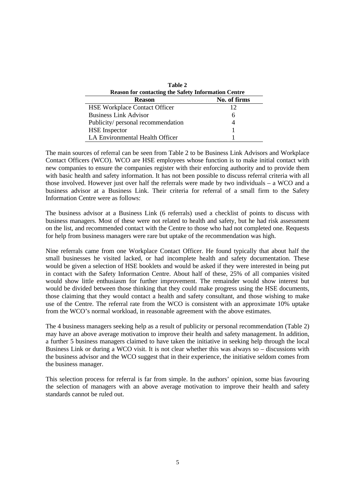| Table 2                              |                                                            |  |  |  |  |
|--------------------------------------|------------------------------------------------------------|--|--|--|--|
|                                      | <b>Reason for contacting the Safety Information Centre</b> |  |  |  |  |
| No. of firms<br><b>Reason</b>        |                                                            |  |  |  |  |
| <b>HSE Workplace Contact Officer</b> | 12                                                         |  |  |  |  |
| <b>Business Link Advisor</b>         | 6                                                          |  |  |  |  |
| Publicity/ personal recommendation   |                                                            |  |  |  |  |
| <b>HSE</b> Inspector                 |                                                            |  |  |  |  |
| LA Environmental Health Officer      |                                                            |  |  |  |  |

The main sources of referral can be seen from Table 2 to be Business Link Advisors and Workplace Contact Officers (WCO). WCO are HSE employees whose function is to make initial contact with new companies to ensure the companies register with their enforcing authority and to provide them with basic health and safety information. It has not been possible to discuss referral criteria with all those involved. However just over half the referrals were made by two individuals – a WCO and a business advisor at a Business Link. Their criteria for referral of a small firm to the Safety Information Centre were as follows:

The business advisor at a Business Link (6 referrals) used a checklist of points to discuss with business managers. Most of these were not related to health and safety, but he had risk assessment on the list, and recommended contact with the Centre to those who had not completed one. Requests for help from business managers were rare but uptake of the recommendation was high.

Nine referrals came from one Workplace Contact Officer. He found typically that about half the small businesses he visited lacked, or had incomplete health and safety documentation. These would be given a selection of HSE booklets and would be asked if they were interested in being put in contact with the Safety Information Centre. About half of these, 25% of all companies visited would show little enthusiasm for further improvement. The remainder would show interest but would be divided between those thinking that they could make progress using the HSE documents, those claiming that they would contact a health and safety consultant, and those wishing to make use of the Centre. The referral rate from the WCO is consistent with an approximate 10% uptake from the WCO's normal workload, in reasonable agreement with the above estimates.

The 4 business managers seeking help as a result of publicity or personal recommendation (Table 2) may have an above average motivation to improve their health and safety management. In addition, a further 5 business managers claimed to have taken the initiative in seeking help through the local Business Link or during a WCO visit. It is not clear whether this was always so – discussions with the business advisor and the WCO suggest that in their experience, the initiative seldom comes from the business manager.

This selection process for referral is far from simple. In the authors' opinion, some bias favouring the selection of managers with an above average motivation to improve their health and safety standards cannot be ruled out.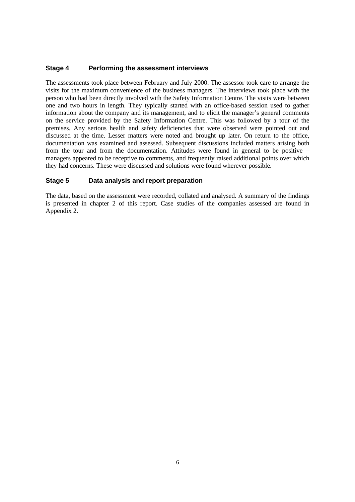#### **Stage 4 Performing the assessment interviews**

The assessments took place between February and July 2000. The assessor took care to arrange the visits for the maximum convenience of the business managers. The interviews took place with the person who had been directly involved with the Safety Information Centre. The visits were between one and two hours in length. They typically started with an office-based session used to gather information about the company and its management, and to elicit the manager's general comments on the service provided by the Safety Information Centre. This was followed by a tour of the premises. Any serious health and safety deficiencies that were observed were pointed out and discussed at the time. Lesser matters were noted and brought up later. On return to the office, documentation was examined and assessed. Subsequent discussions included matters arising both from the tour and from the documentation. Attitudes were found in general to be positive – managers appeared to be receptive to comments, and frequently raised additional points over which they had concerns. These were discussed and solutions were found wherever possible.

#### **Stage 5 Data analysis and report preparation**

The data, based on the assessment were recorded, collated and analysed. A summary of the findings is presented in chapter 2 of this report. Case studies of the companies assessed are found in Appendix 2.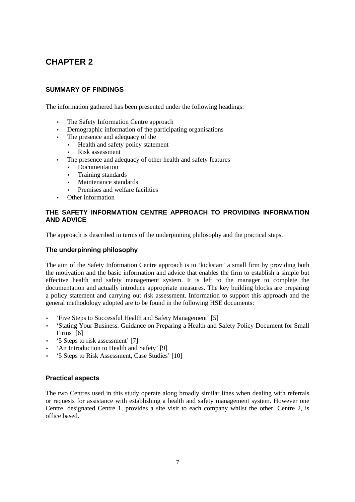### **CHAPTER 2**

#### **SUMMARY OF FINDINGS**

The information gathered has been presented under the following headings:

- The Safety Information Centre approach
- Demographic information of the participating organisations
- The presence and adequacy of the
	- Health and safety policy statement
	- Risk assessment
- The presence and adequacy of other health and safety features
	- Documentation
	- Training standards
	- Maintenance standards
	- Premises and welfare facilities
- Other information

#### **THE SAFETY INFORMATION CENTRE APPROACH TO PROVIDING INFORMATION AND ADVICE**

The approach is described in terms of the underpinning philosophy and the practical steps.

#### **The underpinning philosophy**

The aim of the Safety Information Centre approach is to 'kickstart' a small firm by providing both the motivation and the basic information and advice that enables the firm to establish a simple but effective health and safety management system. It is left to the manager to complete the documentation and actually introduce appropriate measures. The key building blocks are preparing a policy statement and carrying out risk assessment. Information to support this approach and the general methodology adopted are to be found in the following HSE documents:

- 'Five Steps to Successful Health and Safety Management' [5]
- 'Stating Your Business. Guidance on Preparing a Health and Safety Policy Document for Small Firms' [6]
- '5 Steps to risk assessment' [7]
- 'An Introduction to Health and Safety' [9]
- '5 Steps to Risk Assessment, Case Studies' [10]

#### **Practical aspects**

The two Centres used in this study operate along broadly similar lines when dealing with referrals or requests for assistance with establishing a health and safety management system. However one Centre, designated Centre 1, provides a site visit to each company whilst the other, Centre 2, is office based.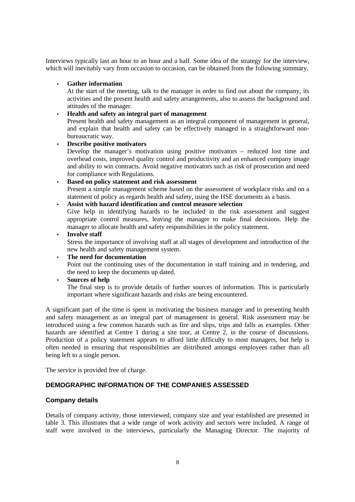Interviews typically last an hour to an hour and a half. Some idea of the strategy for the interview, which will inevitably vary from occasion to occasion, can be obtained from the following summary.

#### • **Gather information**

At the start of the meeting, talk to the manager in order to find out about the company, its activities and the present health and safety arrangements, also to assess the background and attitudes of the manager.

#### • **Health and safety an integral part of management**

Present health and safety management as an integral component of management in general, and explain that health and safety can be effectively managed in a straightforward nonbureaucratic way.

#### • **Describe positive motivators**

Develop the manager's motivation using positive motivators – reduced lost time and overhead costs, improved quality control and productivity and an enhanced company image and ability to win contracts. Avoid negative motivators such as risk of prosecution and need for compliance with Regulations.

• **Based on policy statement and risk assessment** Present a simple management scheme based on the assessment of workplace risks and on a statement of policy as regards health and safety, using the HSE documents as a basis.

• **Assist with hazard identification and control measure selection**

Give help in identifying hazards to be included in the risk assessment and suggest appropriate control measures, leaving the manager to make final decisions. Help the manager to allocate health and safety responsibilities in the policy statement.

#### • **Involve staff**

Stress the importance of involving staff at all stages of development and introduction of the new health and safety management system.

• **The need for documentation**

Point out the continuing uses of the documentation in staff training and in tendering, and the need to keep the documents up dated.

#### • **Sources of help**

The final step is to provide details of further sources of information. This is particularly important where significant hazards and risks are being encountered.

A significant part of the time is spent in motivating the business manager and in presenting health and safety management as an integral part of management in general. Risk assessment may be introduced using a few common hazards such as fire and slips, trips and falls as examples. Other hazards are identified at Centre 1 during a site tour, at Centre 2, in the course of discussions. Production of a policy statement appears to afford little difficulty to most managers, but help is often needed in ensuring that responsibilities are distributed amongst employees rather than all being left to a single person.

The service is provided free of charge.

#### **DEMOGRAPHIC INFORMATION OF THE COMPANIES ASSESSED**

#### **Company details**

Details of company activity, those interviewed, company size and year established are presented in table 3. This illustrates that a wide range of work activity and sectors were included. A range of staff were involved in the interviews, particularly the Managing Director. The majority of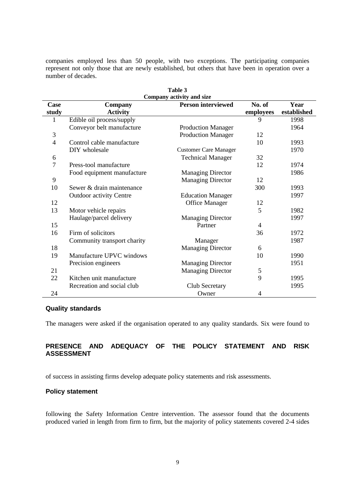companies employed less than 50 people, with two exceptions. The participating companies represent not only those that are newly established, but others that have been in operation over a number of decades.

| Table 3<br>Company activity and size |                                                                |                              |                |             |  |  |  |
|--------------------------------------|----------------------------------------------------------------|------------------------------|----------------|-------------|--|--|--|
|                                      | <b>Person interviewed</b><br>No. of<br>Year<br>Case<br>Company |                              |                |             |  |  |  |
| study                                | <b>Activity</b>                                                |                              | employees      | established |  |  |  |
| 1                                    | Edible oil process/supply                                      |                              | 9              | 1998        |  |  |  |
|                                      | Conveyor belt manufacture                                      | <b>Production Manager</b>    |                | 1964        |  |  |  |
| $\mathfrak{Z}$                       |                                                                | <b>Production Manager</b>    | 12             |             |  |  |  |
| $\overline{4}$                       | Control cable manufacture                                      |                              | 10             | 1993        |  |  |  |
|                                      | DIY wholesale                                                  | <b>Customer Care Manager</b> |                | 1970        |  |  |  |
| 6                                    |                                                                | <b>Technical Manager</b>     | 32             |             |  |  |  |
| $\tau$                               | Press-tool manufacture                                         |                              | 12             | 1974        |  |  |  |
|                                      | Food equipment manufacture                                     | <b>Managing Director</b>     |                | 1986        |  |  |  |
| 9                                    |                                                                | <b>Managing Director</b>     | 12             |             |  |  |  |
| 10                                   | Sewer & drain maintenance                                      |                              | 300            | 1993        |  |  |  |
|                                      | <b>Outdoor activity Centre</b>                                 | <b>Education Manager</b>     |                | 1997        |  |  |  |
| 12                                   |                                                                | <b>Office Manager</b>        | 12             |             |  |  |  |
| 13                                   | Motor vehicle repairs                                          |                              | 5              | 1982        |  |  |  |
|                                      | Haulage/parcel delivery                                        | <b>Managing Director</b>     |                | 1997        |  |  |  |
| 15                                   |                                                                | Partner                      | $\overline{4}$ |             |  |  |  |
| 16                                   | Firm of solicitors                                             |                              | 36             | 1972        |  |  |  |
|                                      | Community transport charity                                    | Manager                      |                | 1987        |  |  |  |
| 18                                   |                                                                | <b>Managing Director</b>     | 6              |             |  |  |  |
| 19                                   | Manufacture UPVC windows                                       |                              | 10             | 1990        |  |  |  |
|                                      | Precision engineers                                            | Managing Director            |                | 1951        |  |  |  |
| 21                                   |                                                                | <b>Managing Director</b>     | $\mathfrak s$  |             |  |  |  |
| 22                                   | Kitchen unit manufacture                                       |                              | 9              | 1995        |  |  |  |
|                                      | Recreation and social club                                     | Club Secretary               |                | 1995        |  |  |  |
| 24                                   |                                                                | Owner                        | 4              |             |  |  |  |

#### **Quality standards**

The managers were asked if the organisation operated to any quality standards. Six were found to

#### **PRESENCE AND ADEQUACY OF THE POLICY STATEMENT AND RISK ASSESSMENT**

of success in assisting firms develop adequate policy statements and risk assessments.

#### **Policy statement**

following the Safety Information Centre intervention. The assessor found that the documents produced varied in length from firm to firm, but the majority of policy statements covered 2-4 sides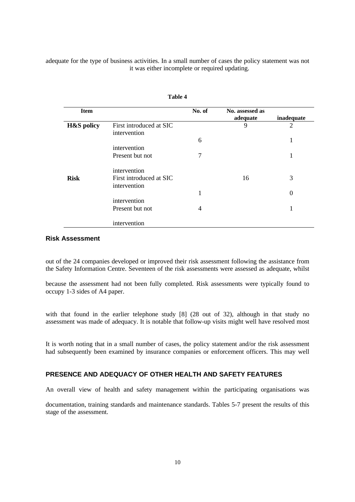adequate for the type of business activities. In a small number of cases the policy statement was not it was either incomplete or required updating.

| <b>Item</b>           |                                         | No. of | No. assessed as<br>adequate | inadequate     |
|-----------------------|-----------------------------------------|--------|-----------------------------|----------------|
| <b>H&amp;S</b> policy | First introduced at SIC<br>intervention |        | 9                           | $\overline{2}$ |
|                       |                                         | 6      |                             | 1              |
|                       | intervention                            |        |                             |                |
|                       | Present but not                         | 7      |                             |                |
|                       | intervention                            |        |                             |                |
| <b>Risk</b>           | First introduced at SIC                 |        | 16                          | 3              |
|                       | intervention                            |        |                             |                |
|                       |                                         | 1      |                             | $\theta$       |
|                       | intervention                            |        |                             |                |
|                       | Present but not                         | 4      |                             |                |
|                       | intervention                            |        |                             |                |

**Table 4**

#### **Risk Assessment**

out of the 24 companies developed or improved their risk assessment following the assistance from the Safety Information Centre. Seventeen of the risk assessments were assessed as adequate, whilst

because the assessment had not been fully completed. Risk assessments were typically found to occupy 1-3 sides of A4 paper.

with that found in the earlier telephone study [8] (28 out of 32), although in that study no assessment was made of adequacy. It is notable that follow-up visits might well have resolved most

It is worth noting that in a small number of cases, the policy statement and/or the risk assessment had subsequently been examined by insurance companies or enforcement officers. This may well

#### **PRESENCE AND ADEQUACY OF OTHER HEALTH AND SAFETY FEATURES**

An overall view of health and safety management within the participating organisations was

documentation, training standards and maintenance standards. Tables 5-7 present the results of this stage of the assessment.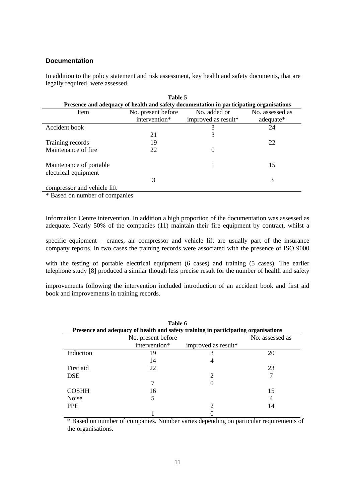#### **Documentation**

In addition to the policy statement and risk assessment, key health and safety documents, that are legally required, were assessed.

|                                                 | Table 5       |                                                                                         |           |  |  |  |  |
|-------------------------------------------------|---------------|-----------------------------------------------------------------------------------------|-----------|--|--|--|--|
|                                                 |               | Presence and adequacy of health and safety documentation in participating organisations |           |  |  |  |  |
| Item                                            | No. added or  | No. assessed as                                                                         |           |  |  |  |  |
|                                                 | intervention* | improved as result*                                                                     | adequate* |  |  |  |  |
| Accident book                                   |               | 3                                                                                       | 24        |  |  |  |  |
|                                                 | 21            | 3                                                                                       |           |  |  |  |  |
| Training records                                | 19            |                                                                                         | 22        |  |  |  |  |
| Maintenance of fire                             | 22            |                                                                                         |           |  |  |  |  |
| Maintenance of portable<br>electrical equipment |               |                                                                                         | 15        |  |  |  |  |
|                                                 | 3             |                                                                                         | 3         |  |  |  |  |
| compressor and vehicle lift                     |               |                                                                                         |           |  |  |  |  |

\* Based on number of companies

Information Centre intervention. In addition a high proportion of the documentation was assessed as adequate. Nearly 50% of the companies (11) maintain their fire equipment by contract, whilst a

specific equipment – cranes, air compressor and vehicle lift are usually part of the insurance company reports. In two cases the training records were associated with the presence of ISO 9000

with the testing of portable electrical equipment (6 cases) and training (5 cases). The earlier telephone study [8] produced a similar though less precise result for the number of health and safety

improvements following the intervention included introduction of an accident book and first aid book and improvements in training records.

| Table 6<br>Presence and adequacy of health and safety training in participating organisations |                    |                             |                 |  |  |
|-----------------------------------------------------------------------------------------------|--------------------|-----------------------------|-----------------|--|--|
|                                                                                               | No. present before |                             | No. assessed as |  |  |
|                                                                                               | intervention*      | improved as result*         |                 |  |  |
| Induction                                                                                     | 19                 | 3                           | 20              |  |  |
|                                                                                               | 14                 |                             |                 |  |  |
| First aid                                                                                     | 22                 |                             | 23              |  |  |
| <b>DSE</b>                                                                                    |                    | $\mathcal{D}_{\mathcal{A}}$ |                 |  |  |
|                                                                                               |                    |                             |                 |  |  |
| <b>COSHH</b>                                                                                  | 16                 |                             | 15              |  |  |
| <b>Noise</b>                                                                                  | 5                  |                             |                 |  |  |
| <b>PPE</b>                                                                                    |                    | ∍                           | 14              |  |  |
|                                                                                               |                    |                             |                 |  |  |

\* Based on number of companies. Number varies depending on particular requirements of the organisations.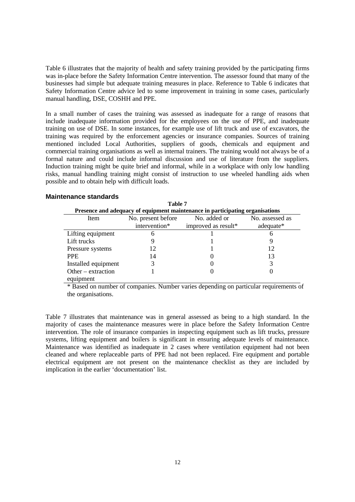Table 6 illustrates that the majority of health and safety training provided by the participating firms was in-place before the Safety Information Centre intervention. The assessor found that many of the businesses had simple but adequate training measures in place. Reference to Table 6 indicates that Safety Information Centre advice led to some improvement in training in some cases, particularly manual handling, DSE, COSHH and PPE.

In a small number of cases the training was assessed as inadequate for a range of reasons that include inadequate information provided for the employees on the use of PPE, and inadequate training on use of DSE. In some instances, for example use of lift truck and use of excavators, the training was required by the enforcement agencies or insurance companies. Sources of training mentioned included Local Authorities, suppliers of goods, chemicals and equipment and commercial training organisations as well as internal trainers. The training would not always be of a formal nature and could include informal discussion and use of literature from the suppliers. Induction training might be quite brief and informal, while in a workplace with only low handling risks, manual handling training might consist of instruction to use wheeled handling aids when possible and to obtain help with difficult loads.

#### **Maintenance standards**

| Table 7                                                       |                                                                               |                     |           |  |  |  |  |
|---------------------------------------------------------------|-------------------------------------------------------------------------------|---------------------|-----------|--|--|--|--|
|                                                               | Presence and adequacy of equipment maintenance in participating organisations |                     |           |  |  |  |  |
| No. added or<br>No. present before<br>No. assessed as<br>Item |                                                                               |                     |           |  |  |  |  |
|                                                               | intervention*                                                                 | improved as result* | adequate* |  |  |  |  |
| Lifting equipment                                             | h                                                                             |                     |           |  |  |  |  |
| Lift trucks                                                   |                                                                               |                     |           |  |  |  |  |
| Pressure systems                                              | 12                                                                            |                     | 12        |  |  |  |  |
| PPE.                                                          | 14                                                                            |                     | 13        |  |  |  |  |
| Installed equipment                                           |                                                                               |                     |           |  |  |  |  |
| Other – extraction                                            |                                                                               |                     |           |  |  |  |  |
| equipment                                                     |                                                                               |                     |           |  |  |  |  |

\* Based on number of companies. Number varies depending on particular requirements of the organisations.

Table 7 illustrates that maintenance was in general assessed as being to a high standard. In the majority of cases the maintenance measures were in place before the Safety Information Centre intervention. The role of insurance companies in inspecting equipment such as lift trucks, pressure systems, lifting equipment and boilers is significant in ensuring adequate levels of maintenance. Maintenance was identified as inadequate in 2 cases where ventilation equipment had not been cleaned and where replaceable parts of PPE had not been replaced. Fire equipment and portable electrical equipment are not present on the maintenance checklist as they are included by implication in the earlier 'documentation' list.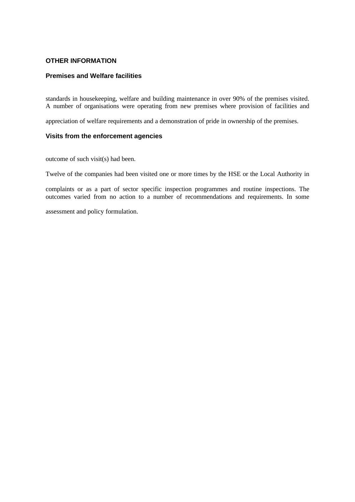#### **OTHER INFORMATION**

#### **Premises and Welfare facilities**

standards in housekeeping, welfare and building maintenance in over 90% of the premises visited. A number of organisations were operating from new premises where provision of facilities and

appreciation of welfare requirements and a demonstration of pride in ownership of the premises.

#### **Visits from the enforcement agencies**

outcome of such visit(s) had been.

Twelve of the companies had been visited one or more times by the HSE or the Local Authority in

complaints or as a part of sector specific inspection programmes and routine inspections. The outcomes varied from no action to a number of recommendations and requirements. In some

assessment and policy formulation.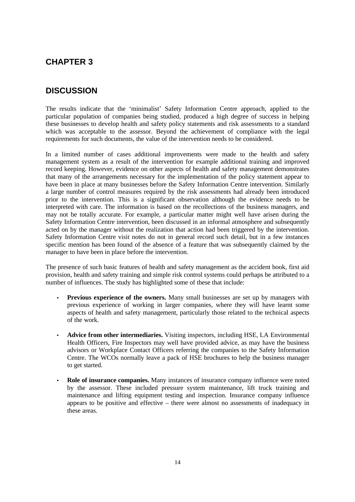### **CHAPTER 3**

### **DISCUSSION**

The results indicate that the 'minimalist' Safety Information Centre approach, applied to the particular population of companies being studied, produced a high degree of success in helping these businesses to develop health and safety policy statements and risk assessments to a standard which was acceptable to the assessor. Beyond the achievement of compliance with the legal requirements for such documents, the value of the intervention needs to be considered.

In a limited number of cases additional improvements were made to the health and safety management system as a result of the intervention for example additional training and improved record keeping. However, evidence on other aspects of health and safety management demonstrates that many of the arrangements necessary for the implementation of the policy statement appear to have been in place at many businesses before the Safety Information Centre intervention. Similarly a large number of control measures required by the risk assessments had already been introduced prior to the intervention. This is a significant observation although the evidence needs to be interpreted with care. The information is based on the recollections of the business managers, and may not be totally accurate. For example, a particular matter might well have arisen during the Safety Information Centre intervention, been discussed in an informal atmosphere and subsequently acted on by the manager without the realization that action had been triggered by the intervention. Safety Information Centre visit notes do not in general record such detail, but in a few instances specific mention has been found of the absence of a feature that was subsequently claimed by the manager to have been in place before the intervention.

The presence of such basic features of health and safety management as the accident book, first aid provision, health and safety training and simple risk control systems could perhaps be attributed to a number of influences. The study has highlighted some of these that include:

- **Previous experience of the owners.** Many small businesses are set up by managers with previous experience of working in larger companies, where they will have learnt some aspects of health and safety management, particularly those related to the technical aspects of the work.
- **Advice from other intermediaries.** Visiting inspectors, including HSE, LA Environmental Health Officers, Fire Inspectors may well have provided advice, as may have the business advisors or Workplace Contact Officers referring the companies to the Safety Information Centre. The WCOs normally leave a pack of HSE brochures to help the business manager to get started.
- **Role of insurance companies.** Many instances of insurance company influence were noted by the assessor. These included pressure system maintenance, lift truck training and maintenance and lifting equipment testing and inspection. Insurance company influence appears to be positive and effective – there were almost no assessments of inadequacy in these areas.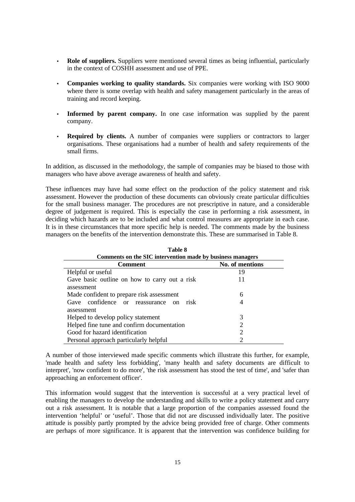- **Role of suppliers.** Suppliers were mentioned several times as being influential, particularly in the context of COSHH assessment and use of PPE.
- **Companies working to quality standards.** Six companies were working with ISO 9000 where there is some overlap with health and safety management particularly in the areas of training and record keeping.
- Informed by parent company. In one case information was supplied by the parent company.
- **Required by clients.** A number of companies were suppliers or contractors to larger organisations. These organisations had a number of health and safety requirements of the small firms.

In addition, as discussed in the methodology, the sample of companies may be biased to those with managers who have above average awareness of health and safety.

These influences may have had some effect on the production of the policy statement and risk assessment. However the production of these documents can obviously create particular difficulties for the small business manager. The procedures are not prescriptive in nature, and a considerable degree of judgement is required. This is especially the case in performing a risk assessment, in deciding which hazards are to be included and what control measures are appropriate in each case. It is in these circumstances that more specific help is needed. The comments made by the business managers on the benefits of the intervention demonstrate this. These are summarised in Table 8.

| Table 8                                                     |                       |  |  |  |  |
|-------------------------------------------------------------|-----------------------|--|--|--|--|
| Comments on the SIC intervention made by business managers  |                       |  |  |  |  |
| <b>Comment</b>                                              | No. of mentions       |  |  |  |  |
| Helpful or useful                                           | 19                    |  |  |  |  |
| Gave basic outline on how to carry out a risk<br>assessment | 11                    |  |  |  |  |
| Made confident to prepare risk assessment                   | 6                     |  |  |  |  |
| Gave confidence or reassurance on<br>risk                   |                       |  |  |  |  |
| assessment                                                  |                       |  |  |  |  |
| Helped to develop policy statement                          | 3                     |  |  |  |  |
| Helped fine tune and confirm documentation                  |                       |  |  |  |  |
| Good for hazard identification                              | $\mathcal{D}_{\cdot}$ |  |  |  |  |
| Personal approach particularly helpful                      |                       |  |  |  |  |

**Table 8** 

A number of those interviewed made specific comments which illustrate this further, for example, 'made health and safety less forbidding', 'many health and safety documents are difficult to interpret', 'now confident to do more', 'the risk assessment has stood the test of time', and 'safer than approaching an enforcement officer'.

This information would suggest that the intervention is successful at a very practical level of enabling the managers to develop the understanding and skills to write a policy statement and carry out a risk assessment. It is notable that a large proportion of the companies assessed found the intervention 'helpful' or 'useful'. Those that did not are discussed individually later. The positive attitude is possibly partly prompted by the advice being provided free of charge. Other comments are perhaps of more significance. It is apparent that the intervention was confidence building for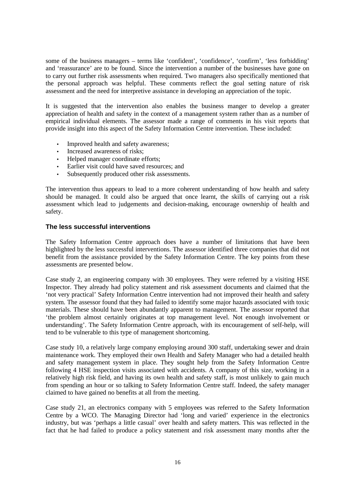some of the business managers – terms like 'confident', 'confidence', 'confirm', 'less forbidding' and 'reassurance' are to be found. Since the intervention a number of the businesses have gone on to carry out further risk assessments when required. Two managers also specifically mentioned that the personal approach was helpful. These comments reflect the goal setting nature of risk assessment and the need for interpretive assistance in developing an appreciation of the topic.

It is suggested that the intervention also enables the business manger to develop a greater appreciation of health and safety in the context of a management system rather than as a number of empirical individual elements. The assessor made a range of comments in his visit reports that provide insight into this aspect of the Safety Information Centre intervention. These included:

- Improved health and safety awareness;
- Increased awareness of risks;
- Helped manager coordinate efforts;
- Earlier visit could have saved resources; and
- Subsequently produced other risk assessments.

The intervention thus appears to lead to a more coherent understanding of how health and safety should be managed. It could also be argued that once learnt, the skills of carrying out a risk assessment which lead to judgements and decision-making, encourage ownership of health and safety.

#### **The less successful interventions**

The Safety Information Centre approach does have a number of limitations that have been highlighted by the less successful interventions. The assessor identified three companies that did not benefit from the assistance provided by the Safety Information Centre. The key points from these assessments are presented below.

Case study 2, an engineering company with 30 employees. They were referred by a visiting HSE Inspector. They already had policy statement and risk assessment documents and claimed that the 'not very practical' Safety Information Centre intervention had not improved their health and safety system. The assessor found that they had failed to identify some major hazards associated with toxic materials. These should have been abundantly apparent to management. The assessor reported that 'the problem almost certainly originates at top management level. Not enough involvement or understanding'. The Safety Information Centre approach, with its encouragement of self-help, will tend to be vulnerable to this type of management shortcoming.

Case study 10, a relatively large company employing around 300 staff, undertaking sewer and drain maintenance work. They employed their own Health and Safety Manager who had a detailed health and safety management system in place. They sought help from the Safety Information Centre following 4 HSE inspection visits associated with accidents. A company of this size, working in a relatively high risk field, and having its own health and safety staff, is most unlikely to gain much from spending an hour or so talking to Safety Information Centre staff. Indeed, the safety manager claimed to have gained no benefits at all from the meeting.

Case study 21, an electronics company with 5 employees was referred to the Safety Information Centre by a WCO. The Managing Director had 'long and varied' experience in the electronics industry, but was 'perhaps a little casual' over health and safety matters. This was reflected in the fact that he had failed to produce a policy statement and risk assessment many months after the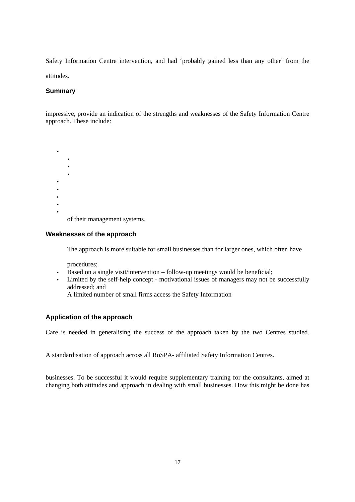Safety Information Centre intervention, and had 'probably gained less than any other' from the attitudes.

## **Summary**

impressive, provide an indication of the strengths and weaknesses of the Safety Information Centre approach. These include:

• • • • • • • • •

of their management systems.

#### **Weaknesses of the approach**

The approach is more suitable for small businesses than for larger ones, which often have

procedures;

- Based on a single visit/intervention follow-up meetings would be beneficial;
- Limited by the self-help concept motivational issues of managers may not be successfully addressed; and

A limited number of small firms access the Safety Information

#### **Application of the approach**

Care is needed in generalising the success of the approach taken by the two Centres studied.

A standardisation of approach across all RoSPA- affiliated Safety Information Centres.

businesses. To be successful it would require supplementary training for the consultants, aimed at changing both attitudes and approach in dealing with small businesses. How this might be done has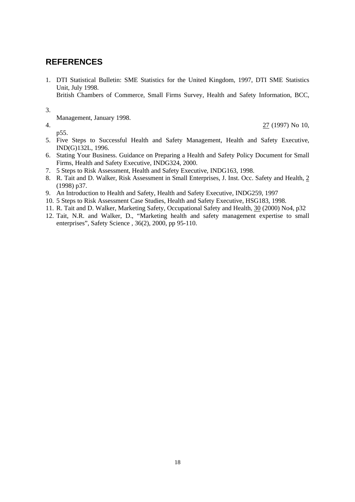### **REFERENCES**

1. DTI Statistical Bulletin: SME Statistics for the United Kingdom, 1997, DTI SME Statistics Unit, July 1998.

British Chambers of Commerce, Small Firms Survey, Health and Safety Information, BCC,

3.

Management, January 1998.

p55.

4. 27 (1997) No 10,

- 5. Five Steps to Successful Health and Safety Management, Health and Safety Executive, IND(G)132L, 1996.
- 6. Stating Your Business. Guidance on Preparing a Health and Safety Policy Document for Small Firms, Health and Safety Executive, INDG324, 2000.
- 7. 5 Steps to Risk Assessment, Health and Safety Executive, INDG163, 1998.
- 8. R. Tait and D. Walker, Risk Assessment in Small Enterprises, J. Inst. Occ. Safety and Health, 2 (1998) p37.
- 9. An Introduction to Health and Safety, Health and Safety Executive, INDG259, 1997
- 10. 5 Steps to Risk Assessment Case Studies, Health and Safety Executive, HSG183, 1998.
- 11. R. Tait and D. Walker, Marketing Safety, Occupational Safety and Health, 30 (2000) No4, p32
- 12. Tait, N.R. and Walker, D., "Marketing health and safety management expertise to small enterprises", Safety Science , 36(2), 2000, pp 95-110.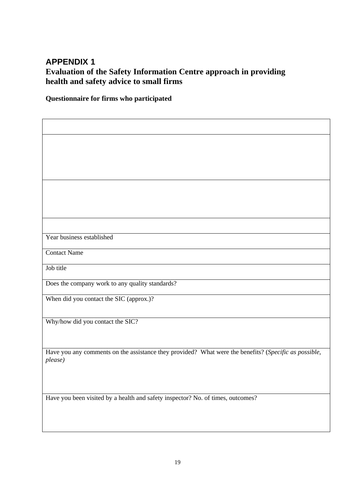### **APPENDIX 1**

### **Evaluation of the Safety Information Centre approach in providing health and safety advice to small firms**

**Questionnaire for firms who participated**

| Year business established                                                                                        |
|------------------------------------------------------------------------------------------------------------------|
| <b>Contact Name</b>                                                                                              |
| Job title                                                                                                        |
| Does the company work to any quality standards?                                                                  |
| When did you contact the SIC (approx.)?                                                                          |
|                                                                                                                  |
| Why/how did you contact the SIC?                                                                                 |
|                                                                                                                  |
| Have you any comments on the assistance they provided? What were the benefits? (Specific as possible,<br>please) |
|                                                                                                                  |
|                                                                                                                  |
| Have you been visited by a health and safety inspector? No. of times, outcomes?                                  |
|                                                                                                                  |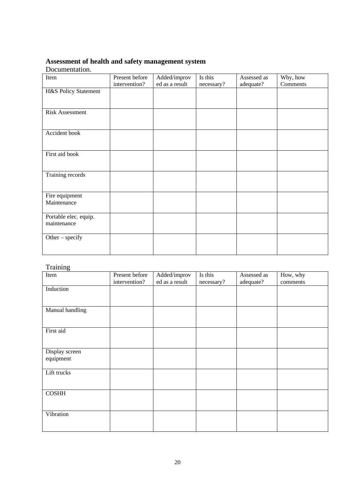### **Assessment of health and safety management system**

#### Documentation.

| Item                                 | Present before | Added/improv   | Is this    | Assessed as | Why, how |
|--------------------------------------|----------------|----------------|------------|-------------|----------|
|                                      | intervention?  | ed as a result | necessary? | adequate?   | Comments |
| H&S Policy Statement                 |                |                |            |             |          |
|                                      |                |                |            |             |          |
| <b>Risk Assessment</b>               |                |                |            |             |          |
| Accident book                        |                |                |            |             |          |
| First aid book                       |                |                |            |             |          |
| Training records                     |                |                |            |             |          |
| Fire equipment<br>Maintenance        |                |                |            |             |          |
| Portable elec. equip.<br>maintenance |                |                |            |             |          |
| Other $-$ specify                    |                |                |            |             |          |

#### Training

| --------------<br>Item      | Present before<br>intervention? | Added/improv<br>ed as a result | Is this<br>necessary? | Assessed as<br>adequate? | How, why<br>comments |
|-----------------------------|---------------------------------|--------------------------------|-----------------------|--------------------------|----------------------|
| Induction                   |                                 |                                |                       |                          |                      |
| Manual handling             |                                 |                                |                       |                          |                      |
| First aid                   |                                 |                                |                       |                          |                      |
| Display screen<br>equipment |                                 |                                |                       |                          |                      |
| Lift trucks                 |                                 |                                |                       |                          |                      |
| <b>COSHH</b>                |                                 |                                |                       |                          |                      |
| Vibration                   |                                 |                                |                       |                          |                      |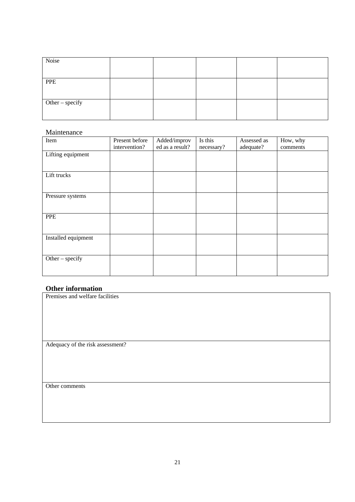| Noise           |  |  |  |
|-----------------|--|--|--|
|                 |  |  |  |
| <b>PPE</b>      |  |  |  |
|                 |  |  |  |
|                 |  |  |  |
| Other – specify |  |  |  |
|                 |  |  |  |
|                 |  |  |  |

#### Maintenance

| Item                | Present before<br>intervention? | Added/improv<br>ed as a result? | Is this<br>necessary? | Assessed as<br>adequate? | How, why<br>comments |
|---------------------|---------------------------------|---------------------------------|-----------------------|--------------------------|----------------------|
| Lifting equipment   |                                 |                                 |                       |                          |                      |
| Lift trucks         |                                 |                                 |                       |                          |                      |
| Pressure systems    |                                 |                                 |                       |                          |                      |
| <b>PPE</b>          |                                 |                                 |                       |                          |                      |
| Installed equipment |                                 |                                 |                       |                          |                      |
| Other $-$ specify   |                                 |                                 |                       |                          |                      |

| <b>Other information</b>         |
|----------------------------------|
| Premises and welfare facilities  |
|                                  |
|                                  |
|                                  |
|                                  |
|                                  |
| Adequacy of the risk assessment? |
|                                  |
|                                  |
|                                  |
|                                  |
| Other comments                   |
|                                  |
|                                  |
|                                  |
|                                  |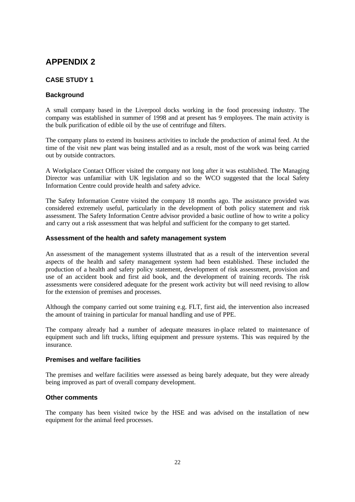### **APPENDIX 2**

#### **CASE STUDY 1**

#### **Background**

A small company based in the Liverpool docks working in the food processing industry. The company was established in summer of 1998 and at present has 9 employees. The main activity is the bulk purification of edible oil by the use of centrifuge and filters.

The company plans to extend its business activities to include the production of animal feed. At the time of the visit new plant was being installed and as a result, most of the work was being carried out by outside contractors.

A Workplace Contact Officer visited the company not long after it was established. The Managing Director was unfamiliar with UK legislation and so the WCO suggested that the local Safety Information Centre could provide health and safety advice.

The Safety Information Centre visited the company 18 months ago. The assistance provided was considered extremely useful, particularly in the development of both policy statement and risk assessment. The Safety Information Centre advisor provided a basic outline of how to write a policy and carry out a risk assessment that was helpful and sufficient for the company to get started.

#### **Assessment of the health and safety management system**

An assessment of the management systems illustrated that as a result of the intervention several aspects of the health and safety management system had been established. These included the production of a health and safety policy statement, development of risk assessment, provision and use of an accident book and first aid book, and the development of training records. The risk assessments were considered adequate for the present work activity but will need revising to allow for the extension of premises and processes.

Although the company carried out some training e.g. FLT, first aid, the intervention also increased the amount of training in particular for manual handling and use of PPE.

The company already had a number of adequate measures in-place related to maintenance of equipment such and lift trucks, lifting equipment and pressure systems. This was required by the insurance*.*

#### **Premises and welfare facilities**

The premises and welfare facilities were assessed as being barely adequate, but they were already being improved as part of overall company development.

#### **Other comments**

The company has been visited twice by the HSE and was advised on the installation of new equipment for the animal feed processes.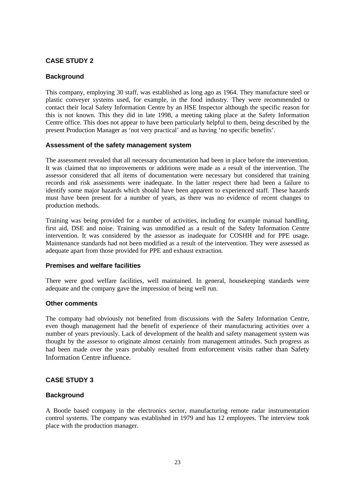#### **CASE STUDY 2**

#### **Background**

This company, employing 30 staff, was established as long ago as 1964. They manufacture steel or plastic conveyer systems used, for example, in the food industry*.* They were recommended to contact their local Safety Information Centre by an HSE Inspector although the specific reason for this is not known. This they did in late 1998, a meeting taking place at the Safety Information Centre office. This does not appear to have been particularly helpful to them, being described by the present Production Manager as 'not very practical' and as having 'no specific benefits'.

#### **Assessment of the safety management system**

The assessment revealed that all necessary documentation had been in place before the intervention. It was claimed that no improvements or additions were made as a result of the intervention. The assessor considered that all items of documentation were necessary but considered that training records and risk assessments were inadequate. In the latter respect there had been a failure to identify some major hazards which should have been apparent to experienced staff. These hazards must have been present for a number of years, as there was no evidence of recent changes to production methods.

Training was being provided for a number of activities, including for example manual handling, first aid, DSE and noise. Training was unmodified as a result of the Safety Information Centre intervention. It was considered by the assessor as inadequate for COSHH and for PPE usage. Maintenance standards had not been modified as a result of the intervention. They were assessed as adequate apart from those provided for PPE and exhaust extraction.

#### **Premises and welfare facilities**

There were good welfare facilities, well maintained. In general, housekeeping standards were adequate and the company gave the impression of being well run.

#### **Other comments**

The company had obviously not benefited from discussions with the Safety Information Centre, even though management had the benefit of experience of their manufacturing activities over a number of years previously. Lack of development of the health and safety management system was thought by the assessor to originate almost certainly from management attitudes. Such progress as had been made over the years probably resulted from enforcement visits rather than Safety Information Centre influence.

#### **CASE STUDY 3**

#### **Background**

A Bootle based company in the electronics sector, manufacturing remote radar instrumentation control systems. The company was established in 1979 and has 12 employees. The interview took place with the production manager.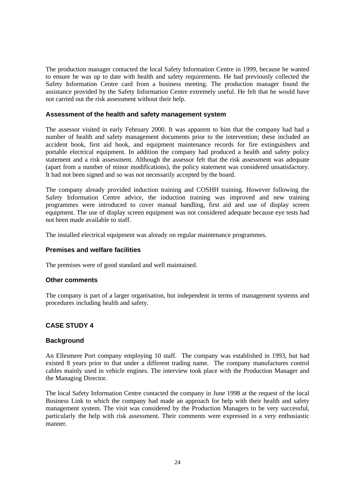The production manager contacted the local Safety Information Centre in 1999, because he wanted to ensure he was up to date with health and safety requirements. He had previously collected the Safety Information Centre card from a business meeting. The production manager found the assistance provided by the Safety Information Centre extremely useful. He felt that he would have not carried out the risk assessment without their help.

#### **Assessment of the health and safety management system**

The assessor visited in early February 2000. It was apparent to him that the company had had a number of health and safety management documents prior to the intervention; these included an accident book, first aid book, and equipment maintenance records for fire extinguishers and portable electrical equipment*.* In addition the company had produced a health and safety policy statement and a risk assessment. Although the assessor felt that the risk assessment was adequate (apart from a number of minor modifications), the policy statement was considered unsatisfactory. It had not been signed and so was not necessarily accepted by the board.

The company already provided induction training and COSHH training. However following the Safety Information Centre advice, the induction training was improved and new training programmes were introduced to cover manual handling, first aid and use of display screen equipment. The use of display screen equipment was not considered adequate because eye tests had not been made available to staff.

The installed electrical equipment was already on regular maintenance programmes.

#### **Premises and welfare facilities**

The premises were of good standard and well maintained.

#### **Other comments**

The company is part of a larger organisation, but independent in terms of management systems and procedures including health and safety.

#### **CASE STUDY 4**

#### **Background**

An Ellesmere Port company employing 10 staff. The company was established in 1993, but had existed 8 years prior to that under a different trading name. The company manufactures control cables mainly used in vehicle engines. The interview took place with the Production Manager and the Managing Director.

The local Safety Information Centre contacted the company in June 1998 at the request of the local Business Link to which the company had made an approach for help with their health and safety management system. The visit was considered by the Production Managers to be very successful, particularly the help with risk assessment. Their comments were expressed in a very enthusiastic manner.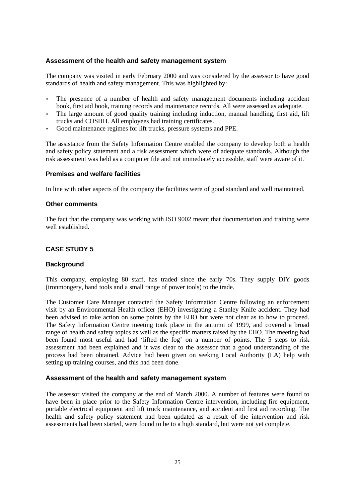#### **Assessment of the health and safety management system**

The company was visited in early February 2000 and was considered by the assessor to have good standards of health and safety management. This was highlighted by:

- The presence of a number of health and safety management documents including accident book, first aid book, training records and maintenance records. All were assessed as adequate.
- The large amount of good quality training including induction, manual handling, first aid, lift trucks and COSHH. All employees had training certificates.
- Good maintenance regimes for lift trucks, pressure systems and PPE.

The assistance from the Safety Information Centre enabled the company to develop both a health and safety policy statement and a risk assessment which were of adequate standards. Although the risk assessment was held as a computer file and not immediately accessible, staff were aware of it.

#### **Premises and welfare facilities**

In line with other aspects of the company the facilities were of good standard and well maintained.

#### **Other comments**

The fact that the company was working with ISO 9002 meant that documentation and training were well established.

#### **CASE STUDY 5**

#### **Background**

This company, employing 80 staff, has traded since the early 70s. They supply DIY goods (ironmongery, hand tools and a small range of power tools) to the trade.

The Customer Care Manager contacted the Safety Information Centre following an enforcement visit by an Environmental Health officer (EHO) investigating a Stanley Knife accident. They had been advised to take action on some points by the EHO but were not clear as to how to proceed. The Safety Information Centre meeting took place in the autumn of 1999, and covered a broad range of health and safety topics as well as the specific matters raised by the EHO. The meeting had been found most useful and had 'lifted the fog' on a number of points. The 5 steps to risk assessment had been explained and it was clear to the assessor that a good understanding of the process had been obtained. Advice had been given on seeking Local Authority (LA) help with setting up training courses, and this had been done.

#### **Assessment of the health and safety management system**

The assessor visited the company at the end of March 2000. A number of features were found to have been in place prior to the Safety Information Centre intervention, including fire equipment, portable electrical equipment and lift truck maintenance, and accident and first aid recording. The health and safety policy statement had been updated as a result of the intervention and risk assessments had been started, were found to be to a high standard, but were not yet complete.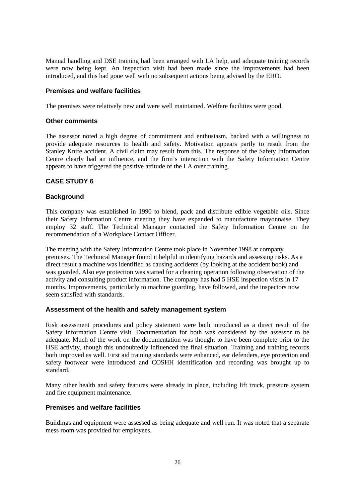Manual handling and DSE training had been arranged with LA help, and adequate training records were now being kept. An inspection visit had been made since the improvements had been introduced, and this had gone well with no subsequent actions being advised by the EHO.

#### **Premises and welfare facilities**

The premises were relatively new and were well maintained. Welfare facilities were good.

#### **Other comments**

The assessor noted a high degree of commitment and enthusiasm, backed with a willingness to provide adequate resources to health and safety. Motivation appears partly to result from the Stanley Knife accident. A civil claim may result from this. The response of the Safety Information Centre clearly had an influence, and the firm's interaction with the Safety Information Centre appears to have triggered the positive attitude of the LA over training.

#### **CASE STUDY 6**

#### **Background**

This company was established in 1990 to blend, pack and distribute edible vegetable oils. Since their Safety Information Centre meeting they have expanded to manufacture mayonnaise. They employ 32 staff. The Technical Manager contacted the Safety Information Centre on the recommendation of a Workplace Contact Officer.

The meeting with the Safety Information Centre took place in November 1998 at company premises. The Technical Manager found it helpful in identifying hazards and assessing risks. As a direct result a machine was identified as causing accidents (by looking at the accident book) and was guarded. Also eye protection was started for a cleaning operation following observation of the activity and consulting product information. The company has had 5 HSE inspection visits in 17 months. Improvements, particularly to machine guarding, have followed, and the inspectors now seem satisfied with standards.

#### **Assessment of the health and safety management system**

Risk assessment procedures and policy statement were both introduced as a direct result of the Safety Information Centre visit. Documentation for both was considered by the assessor to be adequate. Much of the work on the documentation was thought to have been complete prior to the HSE activity, though this undoubtedly influenced the final situation. Training and training records both improved as well. First aid training standards were enhanced, ear defenders, eye protection and safety footwear were introduced and COSHH identification and recording was brought up to standard.

Many other health and safety features were already in place, including lift truck, pressure system and fire equipment maintenance.

#### **Premises and welfare facilities**

Buildings and equipment were assessed as being adequate and well run. It was noted that a separate mess room was provided for employees.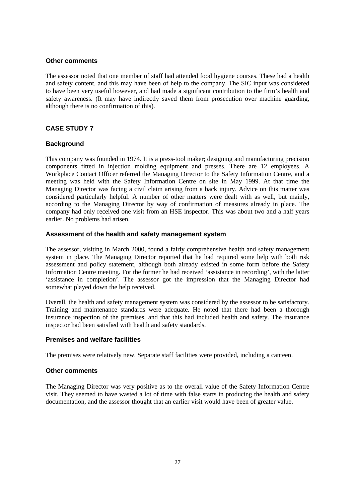#### **Other comments**

The assessor noted that one member of staff had attended food hygiene courses. These had a health and safety content, and this may have been of help to the company. The SIC input was considered to have been very useful however, and had made a significant contribution to the firm's health and safety awareness. (It may have indirectly saved them from prosecution over machine guarding, although there is no confirmation of this).

#### **CASE STUDY 7**

#### **Background**

This company was founded in 1974. It is a press-tool maker; designing and manufacturing precision components fitted in injection molding equipment and presses. There are 12 employees. A Workplace Contact Officer referred the Managing Director to the Safety Information Centre, and a meeting was held with the Safety Information Centre on site in May 1999. At that time the Managing Director was facing a civil claim arising from a back injury. Advice on this matter was considered particularly helpful. A number of other matters were dealt with as well, but mainly, according to the Managing Director by way of confirmation of measures already in place. The company had only received one visit from an HSE inspector. This was about two and a half years earlier. No problems had arisen.

#### **Assessment of the health and safety management system**

The assessor, visiting in March 2000, found a fairly comprehensive health and safety management system in place. The Managing Director reported that he had required some help with both risk assessment and policy statement, although both already existed in some form before the Safety Information Centre meeting. For the former he had received 'assistance in recording', with the latter 'assistance in completion'. The assessor got the impression that the Managing Director had somewhat played down the help received.

Overall, the health and safety management system was considered by the assessor to be satisfactory. Training and maintenance standards were adequate. He noted that there had been a thorough insurance inspection of the premises, and that this had included health and safety. The insurance inspector had been satisfied with health and safety standards.

#### **Premises and welfare facilities**

The premises were relatively new. Separate staff facilities were provided, including a canteen.

#### **Other comments**

The Managing Director was very positive as to the overall value of the Safety Information Centre visit. They seemed to have wasted a lot of time with false starts in producing the health and safety documentation, and the assessor thought that an earlier visit would have been of greater value.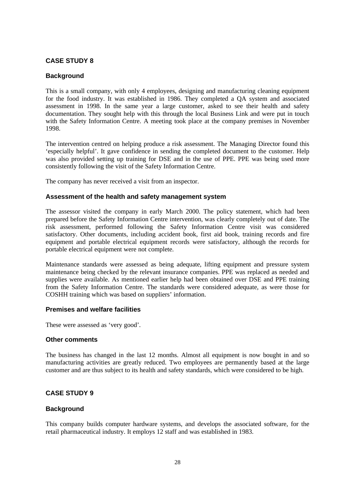#### **CASE STUDY 8**

#### **Background**

This is a small company, with only 4 employees, designing and manufacturing cleaning equipment for the food industry. It was established in 1986. They completed a QA system and associated assessment in 1998. In the same year a large customer, asked to see their health and safety documentation. They sought help with this through the local Business Link and were put in touch with the Safety Information Centre. A meeting took place at the company premises in November 1998.

The intervention centred on helping produce a risk assessment. The Managing Director found this 'especially helpful'. It gave confidence in sending the completed document to the customer. Help was also provided setting up training for DSE and in the use of PPE. PPE was being used more consistently following the visit of the Safety Information Centre.

The company has never received a visit from an inspector.

#### **Assessment of the health and safety management system**

The assessor visited the company in early March 2000. The policy statement, which had been prepared before the Safety Information Centre intervention, was clearly completely out of date. The risk assessment, performed following the Safety Information Centre visit was considered satisfactory. Other documents, including accident book, first aid book, training records and fire equipment and portable electrical equipment records were satisfactory, although the records for portable electrical equipment were not complete.

Maintenance standards were assessed as being adequate, lifting equipment and pressure system maintenance being checked by the relevant insurance companies. PPE was replaced as needed and supplies were available. As mentioned earlier help had been obtained over DSE and PPE training from the Safety Information Centre. The standards were considered adequate, as were those for COSHH training which was based on suppliers' information.

#### **Premises and welfare facilities**

These were assessed as 'very good'.

#### **Other comments**

The business has changed in the last 12 months. Almost all equipment is now bought in and so manufacturing activities are greatly reduced. Two employees are permanently based at the large customer and are thus subject to its health and safety standards, which were considered to be high.

#### **CASE STUDY 9**

#### **Background**

This company builds computer hardware systems, and develops the associated software, for the retail pharmaceutical industry. It employs 12 staff and was established in 1983.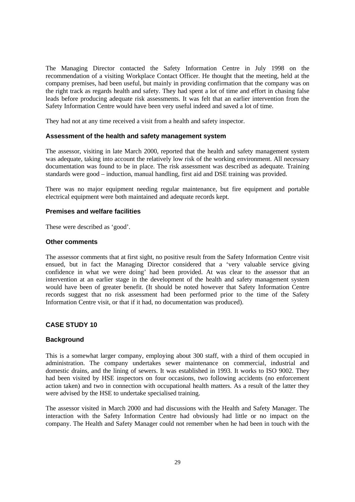The Managing Director contacted the Safety Information Centre in July 1998 on the recommendation of a visiting Workplace Contact Officer. He thought that the meeting, held at the company premises, had been useful, but mainly in providing confirmation that the company was on the right track as regards health and safety. They had spent a lot of time and effort in chasing false leads before producing adequate risk assessments. It was felt that an earlier intervention from the Safety Information Centre would have been very useful indeed and saved a lot of time.

They had not at any time received a visit from a health and safety inspector.

#### **Assessment of the health and safety management system**

The assessor, visiting in late March 2000, reported that the health and safety management system was adequate, taking into account the relatively low risk of the working environment. All necessary documentation was found to be in place. The risk assessment was described as adequate. Training standards were good – induction, manual handling, first aid and DSE training was provided.

There was no major equipment needing regular maintenance, but fire equipment and portable electrical equipment were both maintained and adequate records kept.

#### **Premises and welfare facilities**

These were described as 'good'.

#### **Other comments**

The assessor comments that at first sight, no positive result from the Safety Information Centre visit ensued, but in fact the Managing Director considered that a 'very valuable service giving confidence in what we were doing' had been provided. At was clear to the assessor that an intervention at an earlier stage in the development of the health and safety management system would have been of greater benefit. (It should be noted however that Safety Information Centre records suggest that no risk assessment had been performed prior to the time of the Safety Information Centre visit, or that if it had, no documentation was produced).

#### **CASE STUDY 10**

#### **Background**

This is a somewhat larger company, employing about 300 staff, with a third of them occupied in administration. The company undertakes sewer maintenance on commercial, industrial and domestic drains, and the lining of sewers. It was established in 1993. It works to ISO 9002. They had been visited by HSE inspectors on four occasions, two following accidents (no enforcement action taken) and two in connection with occupational health matters. As a result of the latter they were advised by the HSE to undertake specialised training.

The assessor visited in March 2000 and had discussions with the Health and Safety Manager. The interaction with the Safety Information Centre had obviously had little or no impact on the company. The Health and Safety Manager could not remember when he had been in touch with the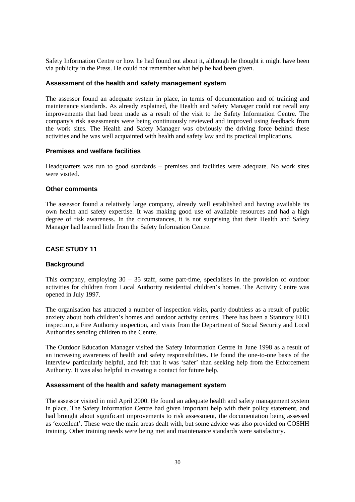Safety Information Centre or how he had found out about it, although he thought it might have been via publicity in the Press. He could not remember what help he had been given.

#### **Assessment of the health and safety management system**

The assessor found an adequate system in place, in terms of documentation and of training and maintenance standards. As already explained, the Health and Safety Manager could not recall any improvements that had been made as a result of the visit to the Safety Information Centre. The company's risk assessments were being continuously reviewed and improved using feedback from the work sites. The Health and Safety Manager was obviously the driving force behind these activities and he was well acquainted with health and safety law and its practical implications.

#### **Premises and welfare facilities**

Headquarters was run to good standards – premises and facilities were adequate. No work sites were visited.

#### **Other comments**

The assessor found a relatively large company, already well established and having available its own health and safety expertise. It was making good use of available resources and had a high degree of risk awareness. In the circumstances, it is not surprising that their Health and Safety Manager had learned little from the Safety Information Centre.

#### **CASE STUDY 11**

#### **Background**

This company, employing  $30 - 35$  staff, some part-time, specialises in the provision of outdoor activities for children from Local Authority residential children's homes. The Activity Centre was opened in July 1997.

The organisation has attracted a number of inspection visits, partly doubtless as a result of public anxiety about both children's homes and outdoor activity centres. There has been a Statutory EHO inspection, a Fire Authority inspection, and visits from the Department of Social Security and Local Authorities sending children to the Centre.

The Outdoor Education Manager visited the Safety Information Centre in June 1998 as a result of an increasing awareness of health and safety responsibilities. He found the one-to-one basis of the interview particularly helpful, and felt that it was 'safer' than seeking help from the Enforcement Authority. It was also helpful in creating a contact for future help.

#### **Assessment of the health and safety management system**

The assessor visited in mid April 2000. He found an adequate health and safety management system in place. The Safety Information Centre had given important help with their policy statement, and had brought about significant improvements to risk assessment, the documentation being assessed as 'excellent'. These were the main areas dealt with, but some advice was also provided on COSHH training. Other training needs were being met and maintenance standards were satisfactory.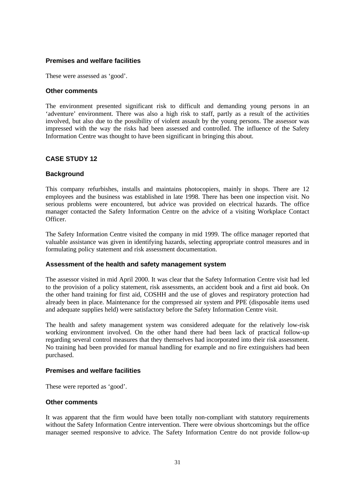#### **Premises and welfare facilities**

These were assessed as 'good'.

#### **Other comments**

The environment presented significant risk to difficult and demanding young persons in an 'adventure' environment. There was also a high risk to staff, partly as a result of the activities involved, but also due to the possibility of violent assault by the young persons. The assessor was impressed with the way the risks had been assessed and controlled. The influence of the Safety Information Centre was thought to have been significant in bringing this about.

#### **CASE STUDY 12**

#### **Background**

This company refurbishes, installs and maintains photocopiers, mainly in shops. There are 12 employees and the business was established in late 1998. There has been one inspection visit. No serious problems were encountered, but advice was provided on electrical hazards. The office manager contacted the Safety Information Centre on the advice of a visiting Workplace Contact Officer.

The Safety Information Centre visited the company in mid 1999. The office manager reported that valuable assistance was given in identifying hazards, selecting appropriate control measures and in formulating policy statement and risk assessment documentation.

#### **Assessment of the health and safety management system**

The assessor visited in mid April 2000. It was clear that the Safety Information Centre visit had led to the provision of a policy statement, risk assessments, an accident book and a first aid book. On the other hand training for first aid, COSHH and the use of gloves and respiratory protection had already been in place. Maintenance for the compressed air system and PPE (disposable items used and adequate supplies held) were satisfactory before the Safety Information Centre visit.

The health and safety management system was considered adequate for the relatively low-risk working environment involved. On the other hand there had been lack of practical follow-up regarding several control measures that they themselves had incorporated into their risk assessment. No training had been provided for manual handling for example and no fire extinguishers had been purchased.

#### **Premises and welfare facilities**

These were reported as 'good'.

#### **Other comments**

It was apparent that the firm would have been totally non-compliant with statutory requirements without the Safety Information Centre intervention. There were obvious shortcomings but the office manager seemed responsive to advice. The Safety Information Centre do not provide follow-up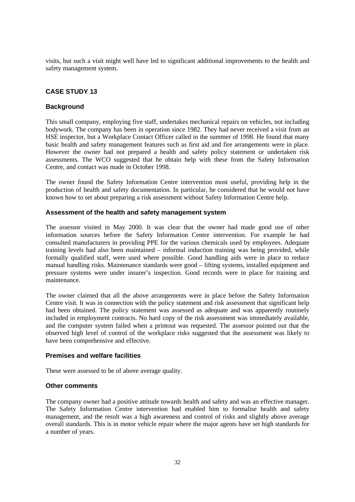visits, but such a visit might well have led to significant additional improvements to the health and safety management system.

#### **CASE STUDY 13**

#### **Background**

This small company, employing five staff, undertakes mechanical repairs on vehicles, not including bodywork. The company has been in operation since 1982. They had never received a visit from an HSE inspector, but a Workplace Contact Officer called in the summer of 1998. He found that many basic health and safety management features such as first aid and fire arrangements were in place. However the owner had not prepared a health and safety policy statement or undertaken risk assessments. The WCO suggested that he obtain help with these from the Safety Information Centre, and contact was made in October 1998.

The owner found the Safety Information Centre intervention most useful, providing help in the production of health and safety documentation. In particular, he considered that he would not have known how to set about preparing a risk assessment without Safety Information Centre help.

#### **Assessment of the health and safety management system**

The assessor visited in May 2000. It was clear that the owner had made good use of other information sources before the Safety Information Centre intervention. For example he had consulted manufacturers in providing PPE for the various chemicals used by employees. Adequate training levels had also been maintained – informal induction training was being provided, while formally qualified staff, were used where possible. Good handling aids were in place to reduce manual handling risks. Maintenance standards were good – lifting systems, installed equipment and pressure systems were under insurer's inspection. Good records were in place for training and maintenance.

The owner claimed that all the above arrangements were in place before the Safety Information Centre visit. It was in connection with the policy statement and risk assessment that significant help had been obtained. The policy statement was assessed as adequate and was apparently routinely included in employment contracts. No hard copy of the risk assessment was immediately available, and the computer system failed when a printout was requested. The assessor pointed out that the observed high level of control of the workplace risks suggested that the assessment was likely to have been comprehensive and effective.

#### **Premises and welfare facilities**

These were assessed to be of above average quality.

#### **Other comments**

The company owner had a positive attitude towards health and safety and was an effective manager. The Safety Information Centre intervention had enabled him to formalise health and safety management, and the result was a high awareness and control of risks and slightly above average overall standards. This is in motor vehicle repair where the major agents have set high standards for a number of years.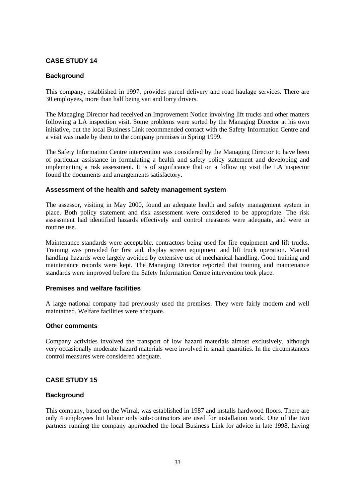#### **CASE STUDY 14**

#### **Background**

This company, established in 1997, provides parcel delivery and road haulage services. There are 30 employees, more than half being van and lorry drivers.

The Managing Director had received an Improvement Notice involving lift trucks and other matters following a LA inspection visit. Some problems were sorted by the Managing Director at his own initiative, but the local Business Link recommended contact with the Safety Information Centre and a visit was made by them to the company premises in Spring 1999.

The Safety Information Centre intervention was considered by the Managing Director to have been of particular assistance in formulating a health and safety policy statement and developing and implementing a risk assessment. It is of significance that on a follow up visit the LA inspector found the documents and arrangements satisfactory.

#### **Assessment of the health and safety management system**

The assessor, visiting in May 2000, found an adequate health and safety management system in place. Both policy statement and risk assessment were considered to be appropriate. The risk assessment had identified hazards effectively and control measures were adequate, and were in routine use.

Maintenance standards were acceptable, contractors being used for fire equipment and lift trucks. Training was provided for first aid, display screen equipment and lift truck operation. Manual handling hazards were largely avoided by extensive use of mechanical handling. Good training and maintenance records were kept. The Managing Director reported that training and maintenance standards were improved before the Safety Information Centre intervention took place.

#### **Premises and welfare facilities**

A large national company had previously used the premises. They were fairly modern and well maintained. Welfare facilities were adequate.

#### **Other comments**

Company activities involved the transport of low hazard materials almost exclusively, although very occasionally moderate hazard materials were involved in small quantities. In the circumstances control measures were considered adequate.

#### **CASE STUDY 15**

#### **Background**

This company, based on the Wirral, was established in 1987 and installs hardwood floors. There are only 4 employees but labour only sub-contractors are used for installation work. One of the two partners running the company approached the local Business Link for advice in late 1998, having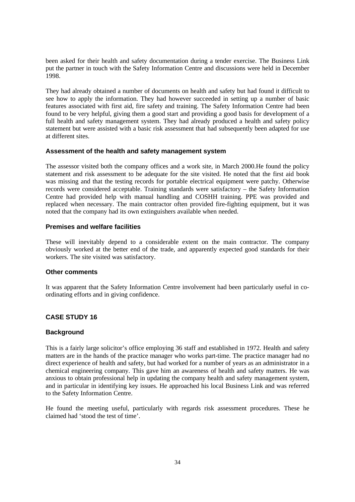been asked for their health and safety documentation during a tender exercise. The Business Link put the partner in touch with the Safety Information Centre and discussions were held in December 1998.

They had already obtained a number of documents on health and safety but had found it difficult to see how to apply the information. They had however succeeded in setting up a number of basic features associated with first aid, fire safety and training. The Safety Information Centre had been found to be very helpful, giving them a good start and providing a good basis for development of a full health and safety management system. They had already produced a health and safety policy statement but were assisted with a basic risk assessment that had subsequently been adapted for use at different sites.

#### **Assessment of the health and safety management system**

The assessor visited both the company offices and a work site, in March 2000.He found the policy statement and risk assessment to be adequate for the site visited. He noted that the first aid book was missing and that the testing records for portable electrical equipment were patchy. Otherwise records were considered acceptable. Training standards were satisfactory – the Safety Information Centre had provided help with manual handling and COSHH training. PPE was provided and replaced when necessary. The main contractor often provided fire-fighting equipment, but it was noted that the company had its own extinguishers available when needed.

#### **Premises and welfare facilities**

These will inevitably depend to a considerable extent on the main contractor. The company obviously worked at the better end of the trade, and apparently expected good standards for their workers. The site visited was satisfactory.

#### **Other comments**

It was apparent that the Safety Information Centre involvement had been particularly useful in coordinating efforts and in giving confidence.

#### **CASE STUDY 16**

#### **Background**

This is a fairly large solicitor's office employing 36 staff and established in 1972. Health and safety matters are in the hands of the practice manager who works part-time. The practice manager had no direct experience of health and safety, but had worked for a number of years as an administrator in a chemical engineering company. This gave him an awareness of health and safety matters. He was anxious to obtain professional help in updating the company health and safety management system, and in particular in identifying key issues. He approached his local Business Link and was referred to the Safety Information Centre.

He found the meeting useful, particularly with regards risk assessment procedures. These he claimed had 'stood the test of time'.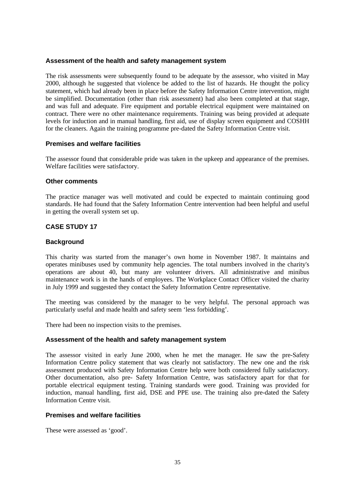#### **Assessment of the health and safety management system**

The risk assessments were subsequently found to be adequate by the assessor, who visited in May 2000, although he suggested that violence be added to the list of hazards. He thought the policy statement, which had already been in place before the Safety Information Centre intervention, might be simplified. Documentation (other than risk assessment) had also been completed at that stage, and was full and adequate. Fire equipment and portable electrical equipment were maintained on contract. There were no other maintenance requirements. Training was being provided at adequate levels for induction and in manual handling, first aid, use of display screen equipment and COSHH for the cleaners. Again the training programme pre-dated the Safety Information Centre visit.

#### **Premises and welfare facilities**

The assessor found that considerable pride was taken in the upkeep and appearance of the premises. Welfare facilities were satisfactory.

#### **Other comments**

The practice manager was well motivated and could be expected to maintain continuing good standards. He had found that the Safety Information Centre intervention had been helpful and useful in getting the overall system set up.

#### **CASE STUDY 17**

#### **Background**

This charity was started from the manager's own home in November 1987. It maintains and operates minibuses used by community help agencies. The total numbers involved in the charity's operations are about 40, but many are volunteer drivers. All administrative and minibus maintenance work is in the hands of employees. The Workplace Contact Officer visited the charity in July 1999 and suggested they contact the Safety Information Centre representative.

The meeting was considered by the manager to be very helpful. The personal approach was particularly useful and made health and safety seem 'less forbidding'.

There had been no inspection visits to the premises.

#### **Assessment of the health and safety management system**

The assessor visited in early June 2000, when he met the manager. He saw the pre-Safety Information Centre policy statement that was clearly not satisfactory. The new one and the risk assessment produced with Safety Information Centre help were both considered fully satisfactory. Other documentation, also pre- Safety Information Centre, was satisfactory apart for that for portable electrical equipment testing. Training standards were good. Training was provided for induction, manual handling, first aid, DSE and PPE use. The training also pre-dated the Safety Information Centre visit.

#### **Premises and welfare facilities**

These were assessed as 'good'.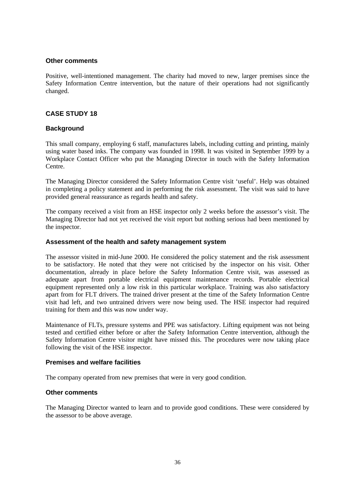#### **Other comments**

Positive, well-intentioned management. The charity had moved to new, larger premises since the Safety Information Centre intervention, but the nature of their operations had not significantly changed.

#### **CASE STUDY 18**

#### **Background**

This small company, employing 6 staff, manufactures labels, including cutting and printing, mainly using water based inks. The company was founded in 1998. It was visited in September 1999 by a Workplace Contact Officer who put the Managing Director in touch with the Safety Information Centre.

The Managing Director considered the Safety Information Centre visit 'useful'. Help was obtained in completing a policy statement and in performing the risk assessment. The visit was said to have provided general reassurance as regards health and safety.

The company received a visit from an HSE inspector only 2 weeks before the assessor's visit. The Managing Director had not yet received the visit report but nothing serious had been mentioned by the inspector.

#### **Assessment of the health and safety management system**

The assessor visited in mid-June 2000. He considered the policy statement and the risk assessment to be satisfactory. He noted that they were not criticised by the inspector on his visit. Other documentation, already in place before the Safety Information Centre visit, was assessed as adequate apart from portable electrical equipment maintenance records. Portable electrical equipment represented only a low risk in this particular workplace. Training was also satisfactory apart from for FLT drivers. The trained driver present at the time of the Safety Information Centre visit had left, and two untrained drivers were now being used. The HSE inspector had required training for them and this was now under way.

Maintenance of FLTs, pressure systems and PPE was satisfactory. Lifting equipment was not being tested and certified either before or after the Safety Information Centre intervention, although the Safety Information Centre visitor might have missed this. The procedures were now taking place following the visit of the HSE inspector.

#### **Premises and welfare facilities**

The company operated from new premises that were in very good condition.

#### **Other comments**

The Managing Director wanted to learn and to provide good conditions. These were considered by the assessor to be above average.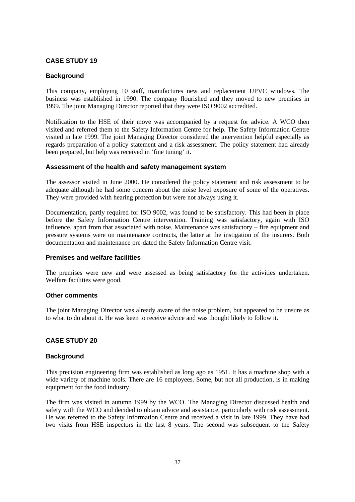#### **CASE STUDY 19**

#### **Background**

This company, employing 10 staff, manufactures new and replacement UPVC windows. The business was established in 1990. The company flourished and they moved to new premises in 1999. The joint Managing Director reported that they were ISO 9002 accredited.

Notification to the HSE of their move was accompanied by a request for advice. A WCO then visited and referred them to the Safety Information Centre for help. The Safety Information Centre visited in late 1999. The joint Managing Director considered the intervention helpful especially as regards preparation of a policy statement and a risk assessment. The policy statement had already been prepared, but help was received in 'fine tuning' it.

#### **Assessment of the health and safety management system**

The assessor visited in June 2000. He considered the policy statement and risk assessment to be adequate although he had some concern about the noise level exposure of some of the operatives. They were provided with hearing protection but were not always using it.

Documentation, partly required for ISO 9002, was found to be satisfactory. This had been in place before the Safety Information Centre intervention. Training was satisfactory, again with ISO influence, apart from that associated with noise. Maintenance was satisfactory – fire equipment and pressure systems were on maintenance contracts, the latter at the instigation of the insurers. Both documentation and maintenance pre-dated the Safety Information Centre visit.

#### **Premises and welfare facilities**

The premises were new and were assessed as being satisfactory for the activities undertaken. Welfare facilities were good.

#### **Other comments**

The joint Managing Director was already aware of the noise problem, but appeared to be unsure as to what to do about it. He was keen to receive advice and was thought likely to follow it.

#### **CASE STUDY 20**

#### **Background**

This precision engineering firm was established as long ago as 1951. It has a machine shop with a wide variety of machine tools. There are 16 employees. Some, but not all production, is in making equipment for the food industry.

The firm was visited in autumn 1999 by the WCO. The Managing Director discussed health and safety with the WCO and decided to obtain advice and assistance, particularly with risk assessment. He was referred to the Safety Information Centre and received a visit in late 1999. They have had two visits from HSE inspectors in the last 8 years. The second was subsequent to the Safety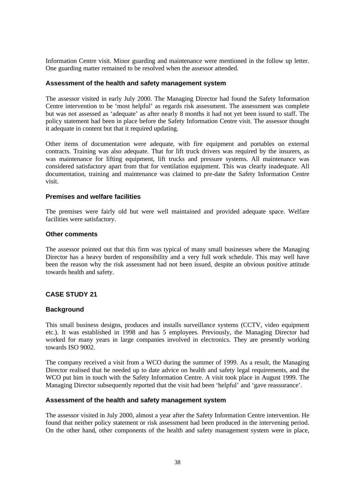Information Centre visit. Minor guarding and maintenance were mentioned in the follow up letter. One guarding matter remained to be resolved when the assessor attended.

#### **Assessment of the health and safety management system**

The assessor visited in early July 2000. The Managing Director had found the Safety Information Centre intervention to be 'most helpful' as regards risk assessment. The assessment was complete but was not assessed as 'adequate' as after nearly 8 months it had not yet been issued to staff. The policy statement had been in place before the Safety Information Centre visit. The assessor thought it adequate in content but that it required updating.

Other items of documentation were adequate, with fire equipment and portables on external contracts. Training was also adequate. That for lift truck drivers was required by the insurers, as was maintenance for lifting equipment, lift trucks and pressure systems. All maintenance was considered satisfactory apart from that for ventilation equipment. This was clearly inadequate. All documentation, training and maintenance was claimed to pre-date the Safety Information Centre visit.

#### **Premises and welfare facilities**

The premises were fairly old but were well maintained and provided adequate space. Welfare facilities were satisfactory.

#### **Other comments**

The assessor pointed out that this firm was typical of many small businesses where the Managing Director has a heavy burden of responsibility and a very full work schedule. This may well have been the reason why the risk assessment had not been issued, despite an obvious positive attitude towards health and safety.

#### **CASE STUDY 21**

#### **Background**

This small business designs, produces and installs surveillance systems (CCTV, video equipment etc.). It was established in 1998 and has 5 employees. Previously, the Managing Director had worked for many years in large companies involved in electronics. They are presently working towards ISO 9002.

The company received a visit from a WCO during the summer of 1999. As a result, the Managing Director realised that he needed up to date advice on health and safety legal requirements, and the WCO put him in touch with the Safety Information Centre. A visit took place in August 1999. The Managing Director subsequently reported that the visit had been 'helpful' and 'gave reassurance'.

#### **Assessment of the health and safety management system**

The assessor visited in July 2000, almost a year after the Safety Information Centre intervention. He found that neither policy statement or risk assessment had been produced in the intervening period. On the other hand, other components of the health and safety management system were in place,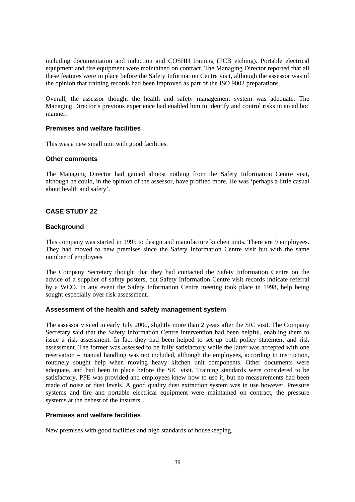including documentation and induction and COSHH training (PCB etching). Portable electrical equipment and fire equipment were maintained on contract. The Managing Director reported that all these features were in place before the Safety Information Centre visit, although the assessor was of the opinion that training records had been improved as part of the ISO 9002 preparations.

Overall, the assessor thought the health and safety management system was adequate. The Managing Director's previous experience had enabled him to identify and control risks in an ad hoc manner.

#### **Premises and welfare facilities**

This was a new small unit with good facilities.

#### **Other comments**

The Managing Director had gained almost nothing from the Safety Information Centre visit, although he could, in the opinion of the assessor, have profited more. He was 'perhaps a little casual about health and safety'.

#### **CASE STUDY 22**

#### **Background**

This company was started in 1995 to design and manufacture kitchen units. There are 9 employees. They had moved to new premises since the Safety Information Centre visit but with the same number of employees

The Company Secretary thought that they had contacted the Safety Information Centre on the advice of a supplier of safety posters, but Safety Information Centre visit records indicate referral by a WCO. In any event the Safety Information Centre meeting took place in 1998, help being sought especially over risk assessment.

#### **Assessment of the health and safety management system**

The assessor visited in early July 2000, slightly more than 2 years after the SIC visit. The Company Secretary said that the Safety Information Centre intervention had been helpful, enabling them to issue a risk assessment. In fact they had been helped to set up both policy statement and risk assessment. The former was assessed to be fully satisfactory while the latter was accepted with one reservation – manual handling was not included, although the employees, according to instruction, routinely sought help when moving heavy kitchen unit components. Other documents were adequate, and had been in place before the SIC visit. Training standards were considered to be satisfactory. PPE was provided and employees knew how to use it, but no measurements had been made of noise or dust levels. A good quality dust extraction system was in use however. Pressure systems and fire and portable electrical equipment were maintained on contract, the pressure systems at the behest of the insurers.

#### **Premises and welfare facilities**

New premises with good facilities and high standards of housekeeping.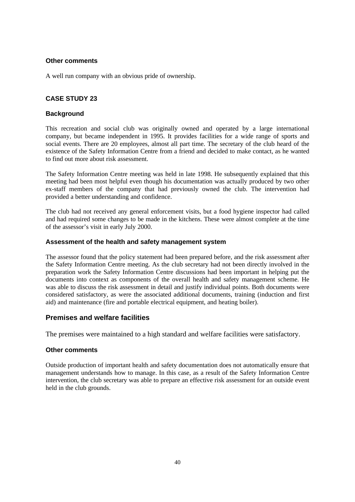#### **Other comments**

A well run company with an obvious pride of ownership.

#### **CASE STUDY 23**

#### **Background**

This recreation and social club was originally owned and operated by a large international company, but became independent in 1995. It provides facilities for a wide range of sports and social events. There are 20 employees, almost all part time. The secretary of the club heard of the existence of the Safety Information Centre from a friend and decided to make contact, as he wanted to find out more about risk assessment.

The Safety Information Centre meeting was held in late 1998. He subsequently explained that this meeting had been most helpful even though his documentation was actually produced by two other ex-staff members of the company that had previously owned the club. The intervention had provided a better understanding and confidence.

The club had not received any general enforcement visits, but a food hygiene inspector had called and had required some changes to be made in the kitchens. These were almost complete at the time of the assessor's visit in early July 2000.

#### **Assessment of the health and safety management system**

The assessor found that the policy statement had been prepared before, and the risk assessment after the Safety Information Centre meeting. As the club secretary had not been directly involved in the preparation work the Safety Information Centre discussions had been important in helping put the documents into context as components of the overall health and safety management scheme. He was able to discuss the risk assessment in detail and justify individual points. Both documents were considered satisfactory, as were the associated additional documents, training (induction and first aid) and maintenance (fire and portable electrical equipment, and heating boiler).

#### **Premises and welfare facilities**

The premises were maintained to a high standard and welfare facilities were satisfactory.

#### **Other comments**

Outside production of important health and safety documentation does not automatically ensure that management understands how to manage. In this case, as a result of the Safety Information Centre intervention, the club secretary was able to prepare an effective risk assessment for an outside event held in the club grounds.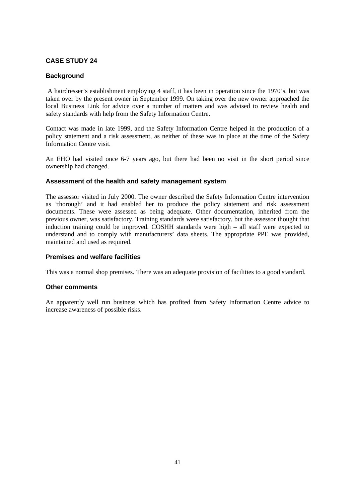#### **CASE STUDY 24**

#### **Background**

 A hairdresser's establishment employing 4 staff, it has been in operation since the 1970's, but was taken over by the present owner in September 1999. On taking over the new owner approached the local Business Link for advice over a number of matters and was advised to review health and safety standards with help from the Safety Information Centre.

Contact was made in late 1999, and the Safety Information Centre helped in the production of a policy statement and a risk assessment, as neither of these was in place at the time of the Safety Information Centre visit.

An EHO had visited once 6-7 years ago, but there had been no visit in the short period since ownership had changed.

#### **Assessment of the health and safety management system**

The assessor visited in July 2000. The owner described the Safety Information Centre intervention as 'thorough' and it had enabled her to produce the policy statement and risk assessment documents. These were assessed as being adequate. Other documentation, inherited from the previous owner, was satisfactory. Training standards were satisfactory, but the assessor thought that induction training could be improved. COSHH standards were high – all staff were expected to understand and to comply with manufacturers' data sheets. The appropriate PPE was provided, maintained and used as required.

#### **Premises and welfare facilities**

This was a normal shop premises. There was an adequate provision of facilities to a good standard.

#### **Other comments**

An apparently well run business which has profited from Safety Information Centre advice to increase awareness of possible risks.